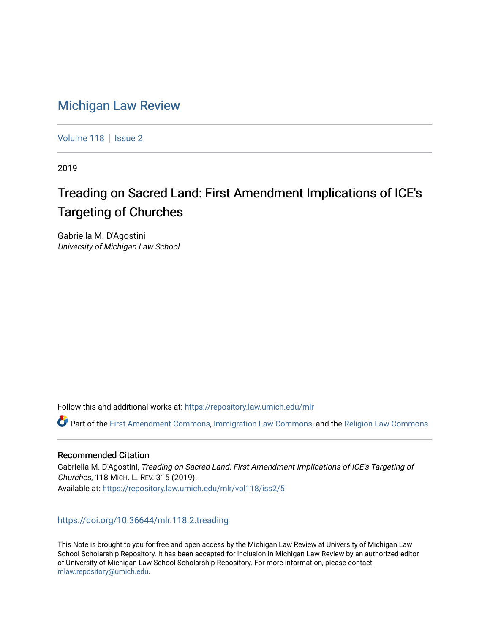# [Michigan Law Review](https://repository.law.umich.edu/mlr)

[Volume 118](https://repository.law.umich.edu/mlr/vol118) | [Issue 2](https://repository.law.umich.edu/mlr/vol118/iss2)

2019

# Treading on Sacred Land: First Amendment Implications of ICE's Targeting of Churches

Gabriella M. D'Agostini University of Michigan Law School

Follow this and additional works at: [https://repository.law.umich.edu/mlr](https://repository.law.umich.edu/mlr?utm_source=repository.law.umich.edu%2Fmlr%2Fvol118%2Fiss2%2F5&utm_medium=PDF&utm_campaign=PDFCoverPages) 

Part of the [First Amendment Commons,](http://network.bepress.com/hgg/discipline/1115?utm_source=repository.law.umich.edu%2Fmlr%2Fvol118%2Fiss2%2F5&utm_medium=PDF&utm_campaign=PDFCoverPages) [Immigration Law Commons](http://network.bepress.com/hgg/discipline/604?utm_source=repository.law.umich.edu%2Fmlr%2Fvol118%2Fiss2%2F5&utm_medium=PDF&utm_campaign=PDFCoverPages), and the [Religion Law Commons](http://network.bepress.com/hgg/discipline/872?utm_source=repository.law.umich.edu%2Fmlr%2Fvol118%2Fiss2%2F5&utm_medium=PDF&utm_campaign=PDFCoverPages)

## Recommended Citation

Gabriella M. D'Agostini, Treading on Sacred Land: First Amendment Implications of ICE's Targeting of Churches, 118 MICH. L. REV. 315 (2019). Available at: [https://repository.law.umich.edu/mlr/vol118/iss2/5](https://repository.law.umich.edu/mlr/vol118/iss2/5?utm_source=repository.law.umich.edu%2Fmlr%2Fvol118%2Fiss2%2F5&utm_medium=PDF&utm_campaign=PDFCoverPages) 

## <https://doi.org/10.36644/mlr.118.2.treading>

This Note is brought to you for free and open access by the Michigan Law Review at University of Michigan Law School Scholarship Repository. It has been accepted for inclusion in Michigan Law Review by an authorized editor of University of Michigan Law School Scholarship Repository. For more information, please contact [mlaw.repository@umich.edu.](mailto:mlaw.repository@umich.edu)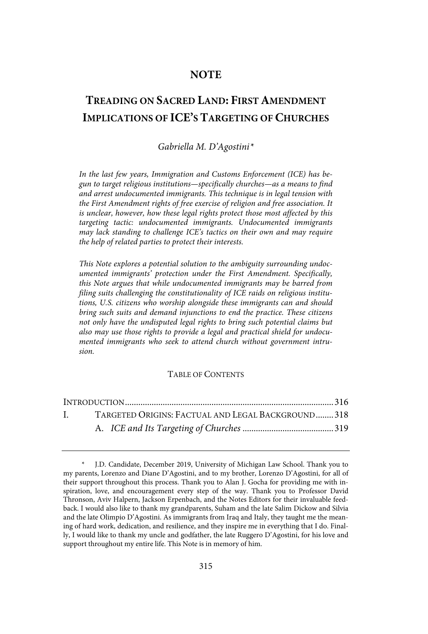## **NOTE**

## **TREADING ON SACRED LAND: FIRST AMENDMENT IMPLICATIONS OF ICE'S TARGETING OF CHURCHES**

## Gabriella M. D'Agostini\*

In the last few years, Immigration and Customs Enforcement (ICE) has begun to target religious institutions—specifically churches—as a means to find and arrest undocumented immigrants. This technique is in legal tension with the First Amendment rights of free exercise of religion and free association . It is unclear, however, how these legal rights protect those most affected by this targeting tactic: undocumented immigrants . Undocumented immigrants may lack standing to challenge ICE's tactics on their own and may require the help of related parties to protect their interests.

This Note explores a potential solution to the ambiguity surrounding undocumented immigrants' protection under the First Amendment. Specifically, this Note argues that while undocumented immigrants may be barred from filing suits challenging the constitutionality of ICE raids on religious institutions, U.S. citizens who worship alongside these immigrants can and should bring such suits and demand injunctions to end the practice. These citizens not only have the undisputed legal rights to bring such potential claims but also may use those rights to provide a legal and practical shield for undocumented immigrants who seek to attend church without government intrusion.

## TABLE OF CONTENTS

| $\mathbf{L}$ | TARGETED ORIGINS: FACTUAL AND LEGAL BACKGROUND318 |  |
|--------------|---------------------------------------------------|--|
|              |                                                   |  |

<sup>\*</sup> J.D. Candidate, December 2019, University of Michigan Law School. Thank you to my parents, Lorenzo and Diane D'Agostini, and to my brother, Lorenzo D'Agostini, for all of their support throughout this process. Thank you to Alan J. Gocha for providing me with inspiration, love, and encouragement every step of the way. Thank you to Professor David Thronson, Aviv Halpern, Jackson Erpenbach, and the Notes Editors for their invaluable feedback. I would also like to thank my grandparents, Suham and the late Salim Dickow and Silvia and the late Olimpio D'Agostini. As immigrants from Iraq and Italy, they taught me the meaning of hard work, dedication, and resilience, and they inspire me in everything that I do. Finally, I would like to thank my uncle and godfather, the late Ruggero D'Agostini, for his love and support throughout my entire life. This Note is in memory of him.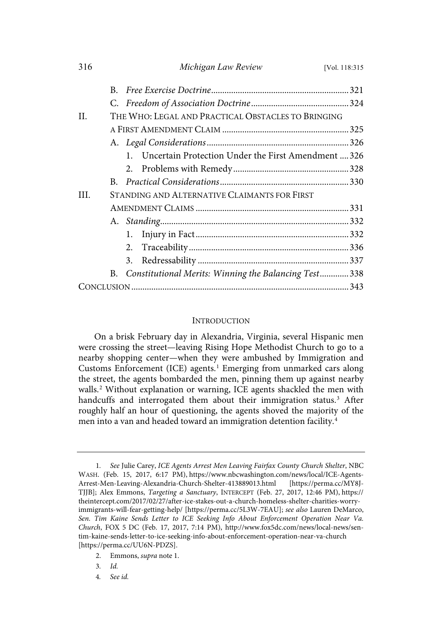| 316  |                                                    | Michigan Law Review                                                 | [Vol. 118:315] |  |
|------|----------------------------------------------------|---------------------------------------------------------------------|----------------|--|
|      | R.                                                 |                                                                     |                |  |
|      |                                                    |                                                                     |                |  |
| H    | THE WHO: LEGAL AND PRACTICAL OBSTACLES TO BRINGING |                                                                     |                |  |
|      |                                                    |                                                                     |                |  |
|      |                                                    |                                                                     |                |  |
|      |                                                    | Uncertain Protection Under the First Amendment  326<br>$\mathbf{1}$ |                |  |
|      |                                                    |                                                                     |                |  |
|      | B.                                                 |                                                                     |                |  |
| III. | STANDING AND ALTERNATIVE CLAIMANTS FOR FIRST       |                                                                     |                |  |
|      |                                                    |                                                                     |                |  |
|      |                                                    |                                                                     |                |  |
|      |                                                    | 1.                                                                  |                |  |
|      |                                                    | 2.                                                                  |                |  |
|      |                                                    | 3.                                                                  |                |  |
|      |                                                    | B. Constitutional Merits: Winning the Balancing Test338             |                |  |
|      |                                                    |                                                                     |                |  |

#### **INTRODUCTION**

On a brisk February day in Alexandria, Virginia, several Hispanic men were crossing the street—leaving Rising Hope Methodist Church to go to a nearby shopping center—when they were ambushed by Immigration and Customs Enforcement (ICE) agents.<sup>1</sup> Emerging from unmarked cars along the street, the agents bombarded the men, pinning them up against nearby walls.<sup>2</sup> Without explanation or warning, ICE agents shackled the men with handcuffs and interrogated them about their immigration status.<sup>3</sup> After roughly half an hour of questioning, the agents shoved the majority of the men into a van and headed toward an immigration detention facility.<sup>4</sup>

- 2. Emmons, supra note 1.
- 3. Id.
- 4. See id.

<sup>1.</sup> See Julie Carey, ICE Agents Arrest Men Leaving Fairfax County Church Shelter, NBC WASH. (Feb. 15, 2017, 6:17 PM), https://www.nbcwashington.com/news/local/ICE-Agents-Arrest-Men-Leaving-Alexandria-Church-Shelter-413889013.html [https://perma.cc/MY8J-TJJB]; Alex Emmons, Targeting a Sanctuary, INTERCEPT (Feb. 27, 2017, 12:46 PM), https:// theintercept.com/2017/02/27/after-ice-stakes-out-a-church-homeless-shelter-charities-worryimmigrants-will-fear-getting-help/ [https://perma.cc/5L3W-7EAU]; see also Lauren DeMarco, Sen. Tim Kaine Sends Letter to ICE Seeking Info About Enforcement Operation Near Va. Church, FOX 5 DC (Feb. 17, 2017, 7:14 PM), http://www.fox5dc.com/news/local-news/sentim-kaine-sends-letter-to-ice-seeking-info-about-enforcement-operation-near-va-church [https://perma.cc/UU6N-PDZS].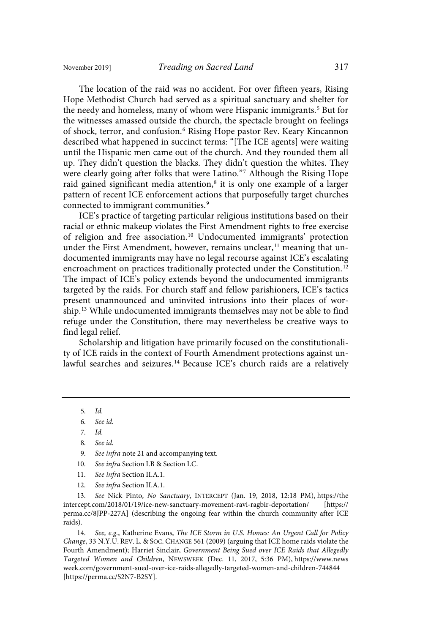The location of the raid was no accident. For over fifteen years, Rising Hope Methodist Church had served as a spiritual sanctuary and shelter for the needy and homeless, many of whom were Hispanic immigrants.<sup>5</sup> But for the witnesses amassed outside the church, the spectacle brought on feelings of shock, terror, and confusion.<sup>6</sup> Rising Hope pastor Rev. Keary Kincannon described what happened in succinct terms: "[The ICE agents] were waiting until the Hispanic men came out of the church. And they rounded them all up. They didn't question the blacks. They didn't question the whites. They were clearly going after folks that were Latino." <sup>7</sup> Although the Rising Hope raid gained significant media attention, 8 it is only one example of a larger pattern of recent ICE enforcement actions that purposefully target churches connected to immigrant communities.<sup>9</sup>

ICE's practice of targeting particular religious institutions based on their racial or ethnic makeup violates the First Amendment rights to free exercise of religion and free association.<sup>10</sup> Undocumented immigrants' protection under the First Amendment, however, remains unclear, $<sup>11</sup>$  meaning that un-</sup> documented immigrants may have no legal recourse against ICE's escalating encroachment on practices traditionally protected under the Constitution.<sup>12</sup> The impact of ICE's policy extends beyond the undocumented immigrants targeted by the raids. For church staff and fellow parishioners, ICE's tactics present unannounced and uninvited intrusions into their places of worship.<sup>13</sup> While undocumented immigrants themselves may not be able to find refuge under the Constitution, there may nevertheless be creative ways to find legal relief.

Scholarship and litigation have primarily focused on the constitutionality of ICE raids in the context of Fourth Amendment protections against unlawful searches and seizures.<sup>14</sup> Because ICE's church raids are a relatively

5. Id.

7. Id.

- 9. See infra note 21 and accompanying text.
- 10. See infra Section I.B & Section I.C.
- 11. See infra Section II.A.1.
- 12. See infra Section II.A.1.

13. See Nick Pinto, No Sanctuary, INTERCEPT (Jan. 19, 2018, 12:18 PM), https://the intercept.com/2018/01/19/ice-new-sanctuary-movement-ravi-ragbir-deportation/ [https:// perma.cc/8JPP-227A] (describing the ongoing fear within the church community after ICE raids).

14. See, e.g., Katherine Evans, The ICE Storm in U.S. Homes: An Urgent Call for Policy Change, 33 N.Y.U. REV. L. & SOC. CHANGE 561 (2009) (arguing that ICE home raids violate the Fourth Amendment); Harriet Sinclair, Government Being Sued over ICE Raids that Allegedly Targeted Women and Children, NEWSWEEK (Dec. 11, 2017, 5:36 PM), https://www.news week.com/government-sued-over-ice-raids-allegedly-targeted-women-and-children-744844 [https://perma.cc/S2N7-B2SY].

<sup>6.</sup> See id.

<sup>8.</sup> See id.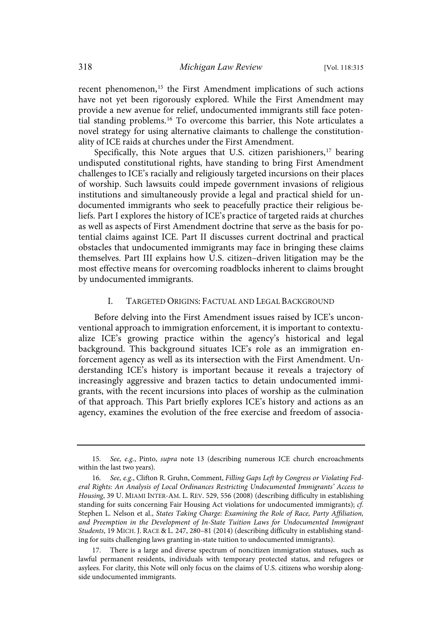recent phenomenon,<sup>15</sup> the First Amendment implications of such actions have not yet been rigorously explored. While the First Amendment may provide a new avenue for relief, undocumented immigrants still face potential standing problems.<sup>16</sup> To overcome this barrier, this Note articulates a novel strategy for using alternative claimants to challenge the constitutionality of ICE raids at churches under the First Amendment.

Specifically, this Note argues that U.S. citizen parishioners, $17$  bearing undisputed constitutional rights, have standing to bring First Amendment challenges to ICE's racially and religiously targeted incursions on their places of worship. Such lawsuits could impede government invasions of religious institutions and simultaneously provide a legal and practical shield for undocumented immigrants who seek to peacefully practice their religious beliefs. Part I explores the history of ICE's practice of targeted raids at churches as well as aspects of First Amendment doctrine that serve as the basis for potential claims against ICE. Part II discusses current doctrinal and practical obstacles that undocumented immigrants may face in bringing these claims themselves. Part III explains how U.S. citizen–driven litigation may be the most effective means for overcoming roadblocks inherent to claims brought by undocumented immigrants.

#### I. TARGETED ORIGINS: FACTUAL AND LEGAL BACKGROUND

Before delving into the First Amendment issues raised by ICE's unconventional approach to immigration enforcement, it is important to contextualize ICE's growing practice within the agency's historical and legal background. This background situates ICE's role as an immigration enforcement agency as well as its intersection with the First Amendment. Understanding ICE's history is important because it reveals a trajectory of increasingly aggressive and brazen tactics to detain undocumented immigrants, with the recent incursions into places of worship as the culmination of that approach. This Part briefly explores ICE's history and actions as an agency, examines the evolution of the free exercise and freedom of associa-

<sup>15.</sup> See, e.g., Pinto, supra note 13 (describing numerous ICE church encroachments within the last two years).

<sup>16.</sup> See, e.g., Clifton R. Gruhn, Comment, Filling Gaps Left by Congress or Violating Federal Rights: An Analysis of Local Ordinances Restricting Undocumented Immigrants' Access to Housing, 39 U. MIAMI INTER-AM. L. REV. 529, 556 (2008) (describing difficulty in establishing standing for suits concerning Fair Housing Act violations for undocumented immigrants);  $c\bar{f}$ . Stephen L. Nelson et al., States Taking Charge: Examining the Role of Race, Party Affiliation, and Preemption in the Development of In-State Tuition Laws for Undocumented Immigrant Students, 19 MICH. J. RACE & L. 247, 280–81 (2014) (describing difficulty in establishing standing for suits challenging laws granting in-state tuition to undocumented immigrants).

<sup>17.</sup> There is a large and diverse spectrum of noncitizen immigration statuses, such as lawful permanent residents, individuals with temporary protected status, and refugees or asylees. For clarity, this Note will only focus on the claims of U.S. citizens who worship alongside undocumented immigrants.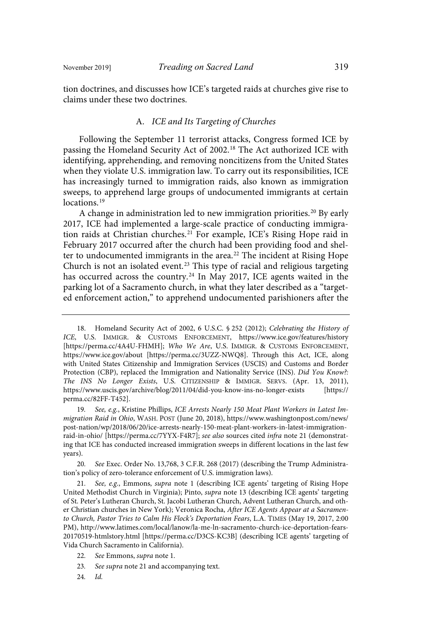tion doctrines, and discusses how ICE's targeted raids at churches give rise to claims under these two doctrines.

## A. ICE and Its Targeting of Churches

Following the September 11 terrorist attacks, Congress formed ICE by passing the Homeland Security Act of 2002.<sup>18</sup> The Act authorized ICE with identifying, apprehending, and removing noncitizens from the United States when they violate U.S. immigration law. To carry out its responsibilities, ICE has increasingly turned to immigration raids, also known as immigration sweeps, to apprehend large groups of undocumented immigrants at certain locations. 19

A change in administration led to new immigration priorities.<sup>20</sup> By early 2017, ICE had implemented a large-scale practice of conducting immigration raids at Christian churches.<sup>21</sup> For example, ICE's Rising Hope raid in February 2017 occurred after the church had been providing food and shelter to undocumented immigrants in the area.<sup>22</sup> The incident at Rising Hope Church is not an isolated event.<sup>23</sup> This type of racial and religious targeting has occurred across the country.<sup>24</sup> In May 2017, ICE agents waited in the parking lot of a Sacramento church, in what they later described as a "targeted enforcement action," to apprehend undocumented parishioners after the

19. See, e.g., Kristine Phillips, ICE Arrests Nearly 150 Meat Plant Workers in Latest Immigration Raid in Ohio, WASH. POST (June 20, 2018), https://www.washingtonpost.com/news/ post-nation/wp/2018/06/20/ice-arrests-nearly-150-meat-plant-workers-in-latest-immigrationraid-in-ohio/ [https://perma.cc/7YYX-F4R7]; see also sources cited infra note 21 (demonstrating that ICE has conducted increased immigration sweeps in different locations in the last few years).

20. See Exec. Order No. 13,768, 3 C.F.R. 268 (2017) (describing the Trump Administration's policy of zero-tolerance enforcement of U.S. immigration laws).

See, e.g., Emmons, supra note 1 (describing ICE agents' targeting of Rising Hope United Methodist Church in Virginia); Pinto, supra note 13 (describing ICE agents' targeting of St. Peter's Lutheran Church, St. Jacobi Lutheran Church, Advent Lutheran Church, and other Christian churches in New York); Veronica Rocha, After ICE Agents Appear at a Sacramento Church, Pastor Tries to Calm His Flock's Deportation Fears, L.A. TIMES (May 19, 2017, 2:00 PM), http://www.latimes.com/local/lanow/la-me-ln-sacramento-church-ice-deportation-fears-20170519-htmlstory.html [https://perma.cc/D3CS-KC3B] (describing ICE agents' targeting of Vida Church Sacramento in California).

- 22. See Emmons, supra note 1.
- 23. See supra note 21 and accompanying text.
- $24.$  Id.

<sup>18.</sup> Homeland Security Act of 2002, 6 U.S.C. § 252 (2012); Celebrating the History of ICE, U.S. IMMIGR. & CUSTOMS ENFORCEMENT, https://www.ice.gov/features/history [https://perma.cc/4A4U-FHMH]; Who We Are, U.S. IMMIGR. & CUSTOMS ENFORCEMENT, https://www.ice.gov/about [https://perma.cc/3UZZ-NWQ8]. Through this Act, ICE, along with United States Citizenship and Immigration Services (USCIS) and Customs and Border Protection (CBP), replaced the Immigration and Nationality Service (INS). Did You Know?: The INS No Longer Exists, U.S. CITIZENSHIP & IMMIGR. SERVS. (Apr. 13, 2011), https://www.uscis.gov/archive/blog/2011/04/did-you-know-ins-no-longer-exists [https:// perma.cc/82FF-T452].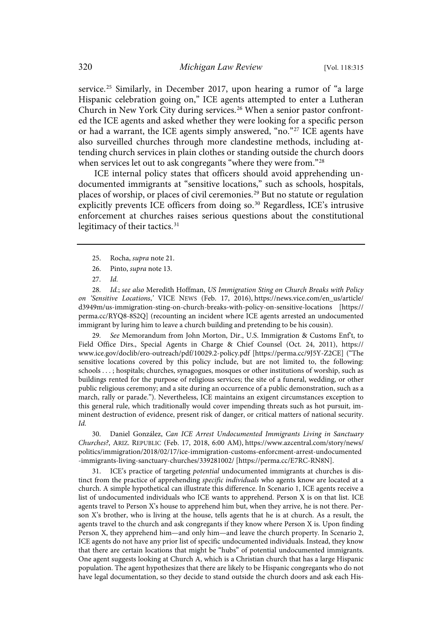service.<sup>25</sup> Similarly, in December 2017, upon hearing a rumor of "a large Hispanic celebration going on," ICE agents attempted to enter a Lutheran Church in New York City during services.<sup>26</sup> When a senior pastor confronted the ICE agents and asked whether they were looking for a specific person or had a warrant, the ICE agents simply answered, "no."<sup>27</sup> ICE agents have also surveilled churches through more clandestine methods, including attending church services in plain clothes or standing outside the church doors when services let out to ask congregants "where they were from."<sup>28</sup>

ICE internal policy states that officers should avoid apprehending undocumented immigrants at "sensitive locations," such as schools, hospitals, places of worship, or places of civil ceremonies.<sup>29</sup> But no statute or regulation explicitly prevents ICE officers from doing so.<sup>30</sup> Regardless, ICE's intrusive enforcement at churches raises serious questions about the constitutional legitimacy of their tactics.<sup>31</sup>

- 25. Rocha, supra note 21.
- 26. Pinto, supra note 13.
- $27.$   $Id.$

28. Id.; see also Meredith Hoffman, US Immigration Sting on Church Breaks with Policy on 'Sensitive Locations,' VICE NEWS (Feb. 17, 2016), https://news.vice.com/en\_us/article/ d3949m/us-immigration-sting-on-church-breaks-with-policy-on-sensitive-locations [https:// perma.cc/RYQ8-8S2Q] (recounting an incident where ICE agents arrested an undocumented immigrant by luring him to leave a church building and pretending to be his cousin).

29. See Memorandum from John Morton, Dir., U.S. Immigration & Customs Enf't, to Field Office Dirs., Special Agents in Charge & Chief Counsel (Oct. 24, 2011), https:// www.ice.gov/doclib/ero-outreach/pdf/10029.2-policy.pdf [https://perma.cc/9J5Y-Z2CE] ("The sensitive locations covered by this policy include, but are not limited to, the following: schools . . . ; hospitals; churches, synagogues, mosques or other institutions of worship, such as buildings rented for the purpose of religious services; the site of a funeral, wedding, or other public religious ceremony; and a site during an occurrence of a public demonstration, such as a march, rally or parade."). Nevertheless, ICE maintains an exigent circumstances exception to this general rule, which traditionally would cover impending threats such as hot pursuit, imminent destruction of evidence, present risk of danger, or critical matters of national security. Id.

30. Daniel González, Can ICE Arrest Undocumented Immigrants Living in Sanctuary Churches?, ARIZ. REPUBLIC (Feb. 17, 2018, 6:00 AM), https://www.azcentral.com/story/news/ politics/immigration/2018/02/17/ice-immigration-customs-enforcment-arrest-undocumented -immigrants-living-sanctuary-churches/339281002/ [https://perma.cc/E7RC-RN8N].

31. ICE's practice of targeting potential undocumented immigrants at churches is distinct from the practice of apprehending specific individuals who agents know are located at a church. A simple hypothetical can illustrate this difference. In Scenario 1, ICE agents receive a list of undocumented individuals who ICE wants to apprehend. Person X is on that list. ICE agents travel to Person X's house to apprehend him but, when they arrive, he is not there. Person X's brother, who is living at the house, tells agents that he is at church. As a result, the agents travel to the church and ask congregants if they know where Person X is. Upon finding Person X, they apprehend him—and only him—and leave the church property. In Scenario 2, ICE agents do not have any prior list of specific undocumented individuals. Instead, they know that there are certain locations that might be "hubs" of potential undocumented immigrants. One agent suggests looking at Church A, which is a Christian church that has a large Hispanic population. The agent hypothesizes that there are likely to be Hispanic congregants who do not have legal documentation, so they decide to stand outside the church doors and ask each His-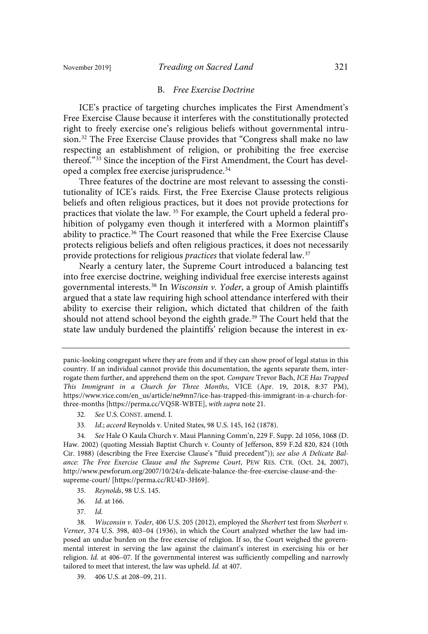#### B. Free Exercise Doctrine

ICE's practice of targeting churches implicates the First Amendment's Free Exercise Clause because it interferes with the constitutionally protected right to freely exercise one's religious beliefs without governmental intrusion.<sup>32</sup> The Free Exercise Clause provides that "Congress shall make no law respecting an establishment of religion, or prohibiting the free exercise thereof."<sup>33</sup> Since the inception of the First Amendment, the Court has developed a complex free exercise jurisprudence. 34

Three features of the doctrine are most relevant to assessing the constitutionality of ICE's raids. First, the Free Exercise Clause protects religious beliefs and often religious practices, but it does not provide protections for practices that violate the law. <sup>35</sup> For example, the Court upheld a federal prohibition of polygamy even though it interfered with a Mormon plaintiff's ability to practice.<sup>36</sup> The Court reasoned that while the Free Exercise Clause protects religious beliefs and often religious practices, it does not necessarily provide protections for religious practices that violate federal law.<sup>37</sup>

Nearly a century later, the Supreme Court introduced a balancing test into free exercise doctrine, weighing individual free exercise interests against governmental interests.<sup>38</sup> In *Wisconsin v. Yoder*, a group of Amish plaintiffs argued that a state law requiring high school attendance interfered with their ability to exercise their religion, which dictated that children of the faith should not attend school beyond the eighth grade.<sup>39</sup> The Court held that the state law unduly burdened the plaintiffs' religion because the interest in ex-

- 32. See U.S. CONST. amend. I.
- 33. Id.; accord Reynolds v. United States, 98 U.S. 145, 162 (1878).

34 . See Hale O Kaula Church v. Maui Planning Comm'n, 229 F. Supp. 2d 1056, 1068 (D. Haw. 2002) (quoting Messiah Baptist Church v. County of Jefferson, 859 F.2d 820, 824 (10th Cir. 1988) (describing the Free Exercise Clause's "fluid precedent")); see also A Delicate Balance: The Free Exercise Clause and the Supreme Court, PEW RES. CTR. (Oct. 24, 2007), http://www.pewforum.org/2007/10/24/a-delicate-balance-the-free-exercise-clause-and-thesupreme-court/ [https://perma.cc/RU4D-3H69].

- 35 . Reynolds, 98 U.S. 145.
- 36 . Id . at 166.

 $37.$   $Id.$ 

39. 406 U.S. at 208–09, 211.

panic-looking congregant where they are from and if they can show proof of legal status in this country. If an individual cannot provide this documentation, the agents separate them, interrogate them further, and apprehend them on the spot. Compare Trevor Bach, ICE Has Trapped This Immigrant in a Church for Three Months, VICE (Apr. 19, 2018, 8:37 PM), https://www.vice.com/en\_us/article/ne9mn7/ice-has-trapped-this-immigrant-in-a-church-forthree-months [https://perma.cc/VQ5R-WBTE], with supra note 21.

<sup>38.</sup> Wisconsin v. Yoder, 406 U.S. 205 (2012), employed the Sherbert test from Sherbert v. Verner, 374 U.S. 398, 403–04 (1936), in which the Court analyzed whether the law had imposed an undue burden on the free exercise of religion. If so, the Court weighed the governmental interest in serving the law against the claimant's interest in exercising his or her religion. Id. at 406–07. If the governmental interest was sufficiently compelling and narrowly tailored to meet that interest, the law was upheld. Id. at 407.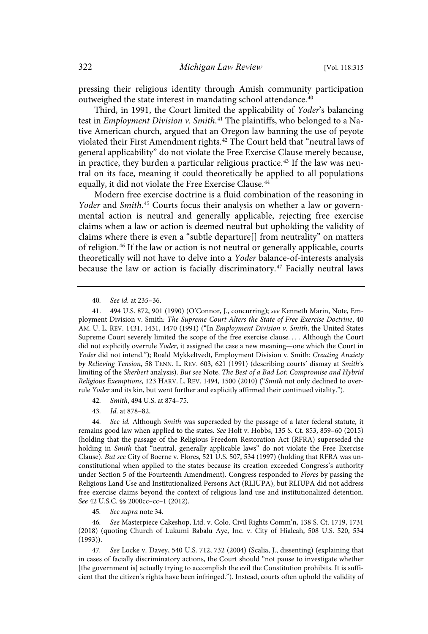pressing their religious identity through Amish community participation outweighed the state interest in mandating school attendance.<sup>40</sup>

Third, in 1991, the Court limited the applicability of Yoder's balancing test in Employment Division v. Smith.<sup>41</sup> The plaintiffs, who belonged to a Native American church, argued that an Oregon law banning the use of peyote violated their First Amendment rights.<sup>42</sup> The Court held that "neutral laws of general applicability" do not violate the Free Exercise Clause merely because, in practice, they burden a particular religious practice.<sup>43</sup> If the law was neutral on its face, meaning it could theoretically be applied to all populations equally, it did not violate the Free Exercise Clause.<sup>44</sup>

Modern free exercise doctrine is a fluid combination of the reasoning in Yoder and Smith.<sup>45</sup> Courts focus their analysis on whether a law or governmental action is neutral and generally applicable, rejecting free exercise claims when a law or action is deemed neutral but upholding the validity of claims where there is even a "subtle departure[] from neutrality" on matters of religion.<sup>46</sup> If the law or action is not neutral or generally applicable, courts theoretically will not have to delve into a Yoder balance-of-interests analysis because the law or action is facially discriminatory.<sup>47</sup> Facially neutral laws

40. See id. at 235-36.

42. Smith, 494 U.S. at 874-75.

43 . Id . at 878–82.

44. See id. Although Smith was superseded by the passage of a later federal statute, it remains good law when applied to the states. See Holt v. Hobbs, 135 S. Ct. 853, 859–60 (2015) (holding that the passage of the Religious Freedom Restoration Act (RFRA) superseded the holding in Smith that "neutral, generally applicable laws" do not violate the Free Exercise Clause). But see City of Boerne v. Flores, 521 U.S. 507, 534 (1997) (holding that RFRA was unconstitutional when applied to the states because its creation exceeded Congress's authority under Section 5 of the Fourteenth Amendment). Congress responded to Flores by passing the Religious Land Use and Institutionalized Persons Act (RLIUPA), but RLIUPA did not address free exercise claims beyond the context of religious land use and institutionalized detention. See 42 U.S.C. §§ 2000cc–cc–1 (2012).

45. See supra note 34.

46 . See Masterpiece Cakeshop, Ltd. v. Colo. Civil Rights Comm'n, 138 S. Ct. 1719, 1731 (2018) (quoting Church of Lukumi Babalu Aye, Inc. v. City of Hialeah, 508 U.S. 520, 534 (1993)).

47 . See Locke v. Davey, 540 U.S. 712, 732 (2004) (Scalia, J., dissenting) (explaining that in cases of facially discriminatory actions, the Court should "not pause to investigate whether [the government is] actually trying to accomplish the evil the Constitution prohibits. It is sufficient that the citizen's rights have been infringed."). Instead, courts often uphold the validity of

<sup>41.</sup> 494 U.S. 872, 901 (1990) (O'Connor, J., concurring); see Kenneth Marin, Note, Employment Division v. Smith: The Supreme Court Alters the State of Free Exercise Doctrine, 40 AM. U. L. REV. 1431, 1431, 1470 (1991) ("In Employment Division v. Smith, the United States Supreme Court severely limited the scope of the free exercise clause. . . . Although the Court did not explicitly overrule Yoder, it assigned the case a new meaning-one which the Court in Yoder did not intend."); Roald Mykkeltvedt, Employment Division v. Smith: Creating Anxiety by Relieving Tension, 58 TENN. L. REV. 603, 621 (1991) (describing courts' dismay at Smith's limiting of the Sherbert analysis). But see Note, The Best of a Bad Lot: Compromise and Hybrid Religious Exemptions, 123 HARV. L. REV. 1494, 1500 (2010) ("Smith not only declined to overrule Yoder and its kin, but went further and explicitly affirmed their continued vitality.").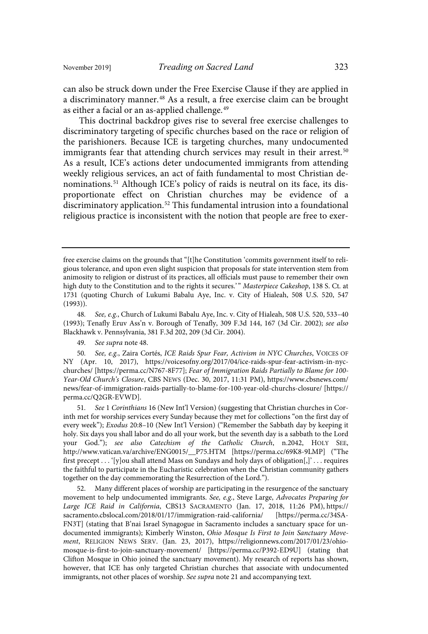can also be struck down under the Free Exercise Clause if they are applied in a discriminatory manner.<sup>48</sup> As a result, a free exercise claim can be brought as either a facial or an as-applied challenge.<sup>49</sup>

This doctrinal backdrop gives rise to several free exercise challenges to discriminatory targeting of specific churches based on the race or religion of the parishioners. Because ICE is targeting churches, many undocumented immigrants fear that attending church services may result in their arrest. 50 As a result, ICE's actions deter undocumented immigrants from attending weekly religious services, an act of faith fundamental to most Christian denominations.<sup>51</sup> Although ICE's policy of raids is neutral on its face, its disproportionate effect on Christian churches may be evidence of a discriminatory application.<sup>52</sup> This fundamental intrusion into a foundational religious practice is inconsistent with the notion that people are free to exer-

48. See, e.g., Church of Lukumi Babalu Aye, Inc. v. City of Hialeah, 508 U.S. 520, 533–40 (1993); Tenafly Eruv Ass'n v. Borough of Tenafly, 309 F.3d 144, 167 (3d Cir. 2002); see also Blackhawk v. Pennsylvania, 381 F.3d 202, 209 (3d Cir. 2004).

49. See supra note 48.

50. See, e.g., Zaira Cortés, ICE Raids Spur Fear, Activism in NYC Churches, VOICES OF NY (Apr. 10, 2017), https://voicesofny.org/2017/04/ice-raids-spur-fear-activism-in-nycchurches/ [https://perma.cc/N767-8F77]; Fear of Immigration Raids Partially to Blame for 100- Year-Old Church's Closure, CBS NEWS (Dec. 30, 2017, 11:31 PM), https://www.cbsnews.com/ news/fear-of-immigration-raids-partially-to-blame-for-100-year-old-churchs-closure/ [https:// perma.cc/Q2GR-EVWD].

51. See 1 Corinthians 16 (New Int'l Version) (suggesting that Christian churches in Corinth met for worship services every Sunday because they met for collections "on the first day of every week"); Exodus 20:8–10 (New Int'l Version) ("Remember the Sabbath day by keeping it holy. Six days you shall labor and do all your work, but the seventh day is a sabbath to the Lord your God."); see also Catechism of the Catholic Church, n.2042, HOLY SEE, http://www.vatican.va/archive/ENG0015/\_\_P75.HTM [https://perma.cc/69K8-9LMP] ("The first precept . . . '[y]ou shall attend Mass on Sundays and holy days of obligation[,]' . . . requires the faithful to participate in the Eucharistic celebration when the Christian community gathers together on the day commemorating the Resurrection of the Lord.").

Many different places of worship are participating in the resurgence of the sanctuary movement to help undocumented immigrants. See, e.g., Steve Large, Advocates Preparing for Large ICE Raid in California, CBS13 SACRAMENTO (Jan. 17, 2018, 11:26 PM), https:// sacramento.cbslocal.com/2018/01/17/immigration-raid-california/ [https://perma.cc/34SA-FN3T] (stating that B'nai Israel Synagogue in Sacramento includes a sanctuary space for undocumented immigrants); Kimberly Winston, Ohio Mosque Is First to Join Sanctuary Movement, RELIGION NEWS SERV. (Jan. 23, 2017), https://religionnews.com/2017/01/23/ohiomosque-is-first-to-join-sanctuary-movement/ [https://perma.cc/P392-ED9U] (stating that Clifton Mosque in Ohio joined the sanctuary movement). My research of reports has shown, however, that ICE has only targeted Christian churches that associate with undocumented immigrants, not other places of worship. See supra note 21 and accompanying text.

free exercise claims on the grounds that "[t]he Constitution 'commits government itself to religious tolerance, and upon even slight suspicion that proposals for state intervention stem from animosity to religion or distrust of its practices, all officials must pause to remember their own high duty to the Constitution and to the rights it secures.'" Masterpiece Cakeshop, 138 S. Ct. at 1731 (quoting Church of Lukumi Babalu Aye, Inc. v. City of Hialeah, 508 U.S. 520, 547 (1993)).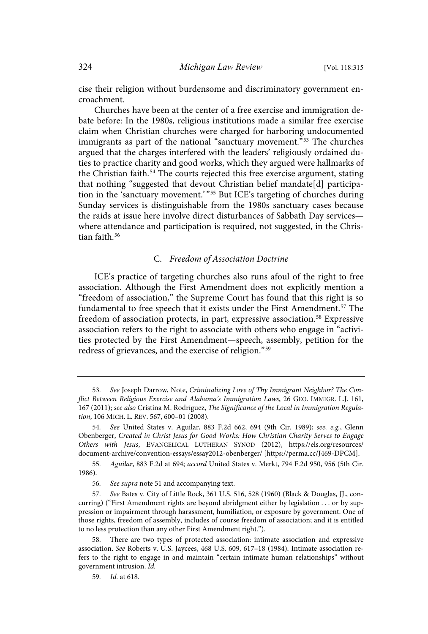cise their religion without burdensome and discriminatory government encroachment.

Churches have been at the center of a free exercise and immigration debate before: In the 1980s, religious institutions made a similar free exercise claim when Christian churches were charged for harboring undocumented immigrants as part of the national "sanctuary movement." <sup>53</sup> The churches argued that the charges interfered with the leaders' religiously ordained duties to practice charity and good works, which they argued were hallmarks of the Christian faith.<sup>54</sup> The courts rejected this free exercise argument, stating that nothing "suggested that devout Christian belief mandate[d] participation in the 'sanctuary movement.' " <sup>55</sup> But ICE's targeting of churches during Sunday services is distinguishable from the 1980s sanctuary cases because the raids at issue here involve direct disturbances of Sabbath Day services where attendance and participation is required, not suggested, in the Christian faith.<sup>56</sup>

## C. Freedom of Association Doctrine

ICE's practice of targeting churches also runs afoul of the right to free association. Although the First Amendment does not explicitly mention a "freedom of association," the Supreme Court has found that this right is so fundamental to free speech that it exists under the First Amendment.<sup>57</sup> The freedom of association protects, in part, expressive association.<sup>58</sup> Expressive association refers to the right to associate with others who engage in "activities protected by the First Amendment—speech, assembly, petition for the redress of grievances, and the exercise of religion."<sup>59</sup>

<sup>53</sup> . See Joseph Darrow, Note, Criminalizing Love of Thy Immigrant Neighbor? The Conflict Between Religious Exercise and Alabama's Immigration Laws, 26 GEO. IMMIGR. L.J. 161, 167 (2011); see also Cristina M. Rodríguez, The Significance of the Local in Immigration Regulation, 106 MICH. L. REV. 567, 600–01 (2008).

<sup>54.</sup> See United States v. Aguilar, 883 F.2d 662, 694 (9th Cir. 1989); see, e.g., Glenn Obenberger, Created in Christ Jesus for Good Works: How Christian Charity Serves to Engage Others with Jesus, EVANGELICAL LUTHERAN SYNOD (2012), https://els.org/resources/ document-archive/convention-essays/essay2012-obenberger/ [https://perma.cc/J469-DPCM].

<sup>55</sup> . Aguilar, 883 F.2d at 694; accord United States v. Merkt, 794 F.2d 950, 956 (5th Cir. 1986).

<sup>56.</sup> See supra note 51 and accompanying text.

<sup>57</sup> . See Bates v. City of Little Rock, 361 U.S. 516, 528 (1960) (Black & Douglas, JJ., concurring) ("First Amendment rights are beyond abridgment either by legislation . . . or by suppression or impairment through harassment, humiliation, or exposure by government. One of those rights, freedom of assembly, includes of course freedom of association; and it is entitled to no less protection than any other First Amendment right.").

There are two types of protected association: intimate association and expressive association. See Roberts v. U.S. Jaycees, 468 U.S. 609, 617–18 (1984). Intimate association refers to the right to engage in and maintain "certain intimate human relationships" without government intrusion. Id.

<sup>59.</sup> *Id.* at 618.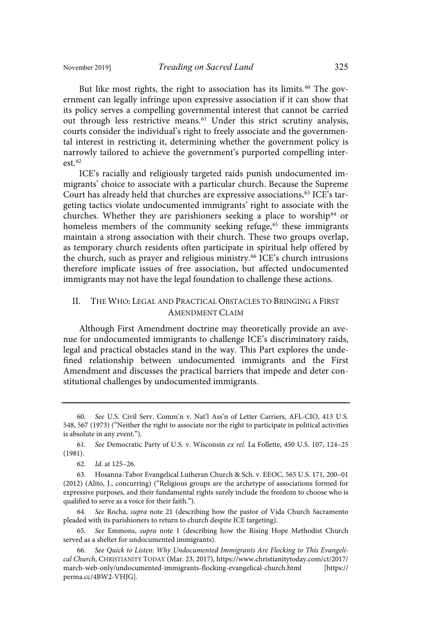But like most rights, the right to association has its limits.<sup>60</sup> The government can legally infringe upon expressive association if it can show that its policy serves a compelling governmental interest that cannot be carried out through less restrictive means. <sup>61</sup> Under this strict scrutiny analysis, courts consider the individual's right to freely associate and the governmental interest in restricting it, determining whether the government policy is narrowly tailored to achieve the government's purported compelling interest. $62$ 

ICE's racially and religiously targeted raids punish undocumented immigrants' choice to associate with a particular church. Because the Supreme Court has already held that churches are expressive associations, <sup>63</sup> ICE's targeting tactics violate undocumented immigrants' right to associate with the churches. Whether they are parishioners seeking a place to worship <sup>64</sup> or homeless members of the community seeking refuge,<sup>65</sup> these immigrants maintain a strong association with their church. These two groups overlap, as temporary church residents often participate in spiritual help offered by the church, such as prayer and religious ministry.<sup>66</sup> ICE's church intrusions therefore implicate issues of free association, but affected undocumented immigrants may not have the legal foundation to challenge these actions.

## II. THE WHO: LEGAL AND PRACTICAL OBSTACLES TO BRINGING A FIRST AMENDMENT CLAIM

Although First Amendment doctrine may theoretically provide an avenue for undocumented immigrants to challenge ICE's discriminatory raids, legal and practical obstacles stand in the way. This Part explores the undefined relationship between undocumented immigrants and the First Amendment and discusses the practical barriers that impede and deter constitutional challenges by undocumented immigrants.

64. See Rocha, supra note 21 (describing how the pastor of Vida Church Sacramento pleaded with its parishioners to return to church despite ICE targeting).

65. See Emmons, supra note 1 (describing how the Rising Hope Methodist Church served as a shelter for undocumented immigrants).

<sup>60</sup> . See U.S. Civil Serv. Comm'n v. Nat'l Ass'n of Letter Carriers, AFL-CIO, 413 U.S. 548, 567 (1973) ("Neither the right to associate nor the right to participate in political activities is absolute in any event.").

<sup>61.</sup> See Democratic Party of U.S. v. Wisconsin ex rel. La Follette, 450 U.S. 107, 124-25 (1981).

<sup>62.</sup> *Id.* at 125-26.

<sup>63.</sup> Hosanna-Tabor Evangelical Lutheran Church & Sch. v. EEOC, 565 U.S. 171, 200–01 (2012) (Alito, J., concurring) ("Religious groups are the archetype of associations formed for expressive purposes, and their fundamental rights surely include the freedom to choose who is qualified to serve as a voice for their faith.").

<sup>66.</sup> See Quick to Listen: Why Undocumented Immigrants Are Flocking to This Evangelical Church, CHRISTIANITY TODAY (Mar. 23, 2017), https://www.christianitytoday.com/ct/2017/ march-web-only/undocumented-immigrants-flocking-evangelical-church.html [https:// perma.cc/4BW2-VHJG].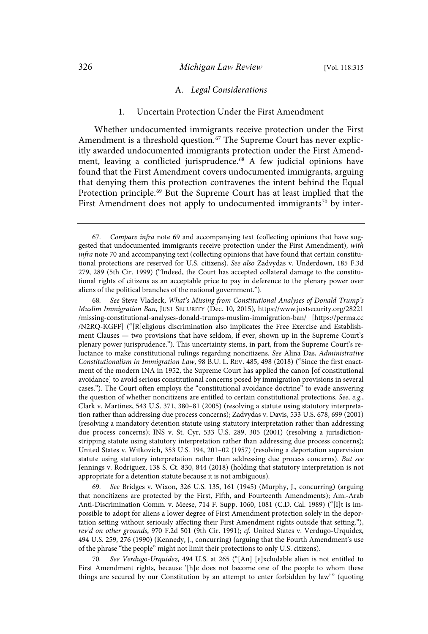#### 326 *Michigan Law Review* [Vol. 118:315

#### A. Legal Considerations

#### 1. Uncertain Protection Under the First Amendment

Whether undocumented immigrants receive protection under the First Amendment is a threshold question. <sup>67</sup> The Supreme Court has never explicitly awarded undocumented immigrants protection under the First Amendment, leaving a conflicted jurisprudence. <sup>68</sup> A few judicial opinions have found that the First Amendment covers undocumented immigrants, arguing that denying them this protection contravenes the intent behind the Equal Protection principle.<sup>69</sup> But the Supreme Court has at least implied that the First Amendment does not apply to undocumented immigrants<sup>70</sup> by inter-

See Steve Vladeck, What's Missing from Constitutional Analyses of Donald Trump's Muslim Immigration Ban, JUST SECURITY (Dec. 10, 2015), https://www.justsecurity.org/28221 /missing-constitutional-analyses-donald-trumps-muslim-immigration-ban/ [https://perma.cc /N2RQ-KGFF] ("[R]eligious discrimination also implicates the Free Exercise and Establishment Clauses — two provisions that have seldom, if ever, shown up in the Supreme Court's plenary power jurisprudence."). This uncertainty stems, in part, from the Supreme Court's reluctance to make constitutional rulings regarding noncitizens. See Alina Das, Administrative Constitutionalism in Immigration Law, 98 B.U. L. REV. 485, 498 (2018) ("Since the first enactment of the modern INA in 1952, the Supreme Court has applied the canon [of constitutional avoidance] to avoid serious constitutional concerns posed by immigration provisions in several cases."). The Court often employs the "constitutional avoidance doctrine" to evade answering the question of whether noncitizens are entitled to certain constitutional protections. See, e.g., Clark v. Martinez, 543 U.S. 371, 380–81 (2005) (resolving a statute using statutory interpretation rather than addressing due process concerns); Zadvydas v. Davis, 533 U.S. 678, 699 (2001) (resolving a mandatory detention statute using statutory interpretation rather than addressing due process concerns); INS v. St. Cyr, 533 U.S. 289, 305 (2001) (resolving a jurisdictionstripping statute using statutory interpretation rather than addressing due process concerns); United States v. Witkovich, 353 U.S. 194, 201–02 (1957) (resolving a deportation supervision statute using statutory interpretation rather than addressing due process concerns). But see Jennings v. Rodriguez, 138 S. Ct. 830, 844 (2018) (holding that statutory interpretation is not appropriate for a detention statute because it is not ambiguous).

69 . See Bridges v. Wixon, 326 U.S. 135, 161 (1945) (Murphy, J., concurring) (arguing that noncitizens are protected by the First, Fifth, and Fourteenth Amendments); Am.-Arab Anti-Discrimination Comm. v. Meese, 714 F. Supp. 1060, 1081 (C.D. Cal. 1989) ("[I]t is impossible to adopt for aliens a lower degree of First Amendment protection solely in the deportation setting without seriously affecting their First Amendment rights outside that setting."), rev'd on other grounds, 970 F.2d 501 (9th Cir. 1991); cf. United States v. Verdugo-Urquidez, 494 U.S. 259, 276 (1990) (Kennedy, J., concurring) (arguing that the Fourth Amendment's use of the phrase "the people" might not limit their protections to only U.S. citizens).

70 . See Verdugo-Urquidez, 494 U.S. at 265 ("[An] [e]xcludable alien is not entitled to First Amendment rights, because '[h]e does not become one of the people to whom these things are secured by our Constitution by an attempt to enter forbidden by law" (quoting

<sup>67</sup> . Compare infra note 69 and accompanying text (collecting opinions that have suggested that undocumented immigrants receive protection under the First Amendment), with infra note 70 and accompanying text (collecting opinions that have found that certain constitutional protections are reserved for U.S. citizens). See also Zadvydas v. Underdown, 185 F.3d 279, 289 (5th Cir. 1999) ("Indeed, the Court has accepted collateral damage to the constitutional rights of citizens as an acceptable price to pay in deference to the plenary power over aliens of the political branches of the national government.").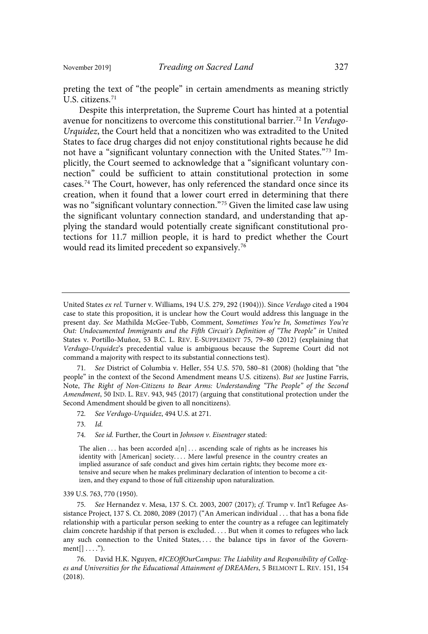preting the text of "the people" in certain amendments as meaning strictly U.S. citizens. 71

Despite this interpretation, the Supreme Court has hinted at a potential avenue for noncitizens to overcome this constitutional barrier.<sup>72</sup> In Verdugo-Urquidez, the Court held that a noncitizen who was extradited to the United States to face drug charges did not enjoy constitutional rights because he did not have a "significant voluntary connection with the United States."<sup>73</sup> Implicitly, the Court seemed to acknowledge that a "significant voluntary connection" could be sufficient to attain constitutional protection in some cases.<sup>74</sup> The Court, however, has only referenced the standard once since its creation, when it found that a lower court erred in determining that there was no "significant voluntary connection."<sup>75</sup> Given the limited case law using the significant voluntary connection standard, and understanding that applying the standard would potentially create significant constitutional protections for 11.7 million people, it is hard to predict whether the Court would read its limited precedent so expansively.<sup>76</sup>

71. See District of Columbia v. Heller, 554 U.S. 570, 580-81 (2008) (holding that "the people" in the context of the Second Amendment means U.S. citizens). But see Justine Farris, Note, The Right of Non-Citizens to Bear Arms: Understanding "The People" of the Second Amendment, 50 IND. L. REV. 943, 945 (2017) (arguing that constitutional protection under the Second Amendment should be given to all noncitizens).

- 72. See Verdugo-Urquidez, 494 U.S. at 271.
- $73.$   $Id.$
- 74. See id. Further, the Court in Johnson v. Eisentrager stated:

339 U.S. 763, 770 (1950).

United States ex rel. Turner v. Williams, 194 U.S. 279, 292 (1904))). Since Verdugo cited a 1904 case to state this proposition, it is unclear how the Court would address this language in the present day. See Mathilda McGee-Tubb, Comment, Sometimes You're In, Sometimes You're Out: Undocumented Immigrants and the Fifth Circuit's Definition of "The People" in United States v. Portillo-Muñoz, 53 B.C. L. REV. E-SUPPLEMENT 75, 79–80 (2012) (explaining that Verdugo-Urquidez's precedential value is ambiguous because the Supreme Court did not command a majority with respect to its substantial connections test).

The alien ... has been accorded  $a[n] \ldots$  ascending scale of rights as he increases his identity with [American] society.... Mere lawful presence in the country creates an implied assurance of safe conduct and gives him certain rights; they become more extensive and secure when he makes preliminary declaration of intention to become a citizen, and they expand to those of full citizenship upon naturalization.

<sup>75</sup> . See Hernandez v. Mesa, 137 S. Ct. 2003, 2007 (2017); cf . Trump v. Int'l Refugee Assistance Project, 137 S. Ct. 2080, 2089 (2017) ("An American individual . . . that has a bona fide relationship with a particular person seeking to enter the country as a refugee can legitimately claim concrete hardship if that person is excluded. . . . But when it comes to refugees who lack any such connection to the United States, ... the balance tips in favor of the Govern $ment[] \ldots$ ").

<sup>76.</sup> David H.K. Nguyen, #ICEOffOurCampus: The Liability and Responsibility of Colleges and Universities for the Educational Attainment of DREAMers, 5 BELMONT L. REV. 151, 154 (2018).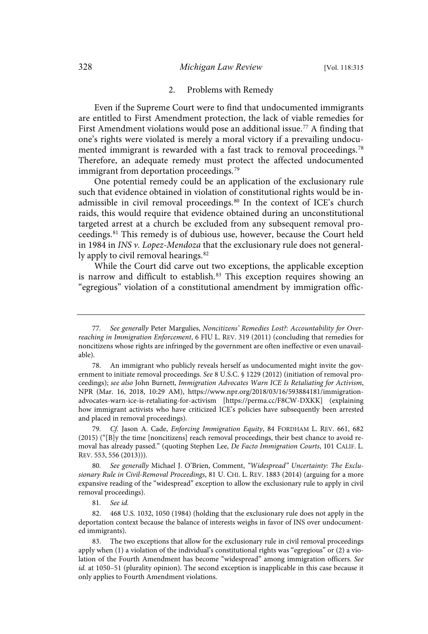#### 2. Problems with Remedy

Even if the Supreme Court were to find that undocumented immigrants are entitled to First Amendment protection, the lack of viable remedies for First Amendment violations would pose an additional issue.<sup>77</sup> A finding that one's rights were violated is merely a moral victory if a prevailing undocumented immigrant is rewarded with a fast track to removal proceedings. 78 Therefore, an adequate remedy must protect the affected undocumented immigrant from deportation proceedings.<sup>79</sup>

One potential remedy could be an application of the exclusionary rule such that evidence obtained in violation of constitutional rights would be inadmissible in civil removal proceedings.<sup>80</sup> In the context of ICE's church raids, this would require that evidence obtained during an unconstitutional targeted arrest at a church be excluded from any subsequent removal proceedings.<sup>81</sup> This remedy is of dubious use, however, because the Court held in 1984 in INS  $\nu$ . Lopez-Mendoza that the exclusionary rule does not generally apply to civil removal hearings.<sup>82</sup>

While the Court did carve out two exceptions, the applicable exception is narrow and difficult to establish.<sup>83</sup> This exception requires showing an "egregious" violation of a constitutional amendment by immigration offic-

81. See id.

<sup>77.</sup> See generally Peter Margulies, Noncitizens' Remedies Lost?: Accountability for Overreaching in Immigration Enforcement, 6 FIU L. REV. 319 (2011) (concluding that remedies for noncitizens whose rights are infringed by the government are often ineffective or even unavailable).

<sup>78.</sup> An immigrant who publicly reveals herself as undocumented might invite the government to initiate removal proceedings. See 8 U.S.C. § 1229 (2012) (initiation of removal proceedings); see also John Burnett, Immigration Advocates Warn ICE Is Retaliating for Activism, NPR (Mar. 16, 2018, 10:29 AM), https://www.npr.org/2018/03/16/593884181/immigrationadvocates-warn-ice-is-retaliating-for-activism [https://perma.cc/F8CW-DXKK] (explaining how immigrant activists who have criticized ICE's policies have subsequently been arrested and placed in removal proceedings).

<sup>79.</sup> Cf. Jason A. Cade, Enforcing Immigration Equity, 84 FORDHAM L. REV. 661, 682 (2015) ("[B]y the time [noncitizens] reach removal proceedings, their best chance to avoid removal has already passed." (quoting Stephen Lee, De Facto Immigration Courts, 101 CALIF. L. REV. 553, 556 (2013))).

<sup>80.</sup> See generally Michael J. O'Brien, Comment, "Widespread" Uncertainty: The Exclusionary Rule in Civil-Removal Proceedings, 81 U. CHI. L. REV. 1883 (2014) (arguing for a more expansive reading of the "widespread" exception to allow the exclusionary rule to apply in civil removal proceedings).

<sup>82.</sup> 468 U.S. 1032, 1050 (1984) (holding that the exclusionary rule does not apply in the deportation context because the balance of interests weighs in favor of INS over undocumented immigrants).

<sup>83.</sup> The two exceptions that allow for the exclusionary rule in civil removal proceedings apply when (1) a violation of the individual's constitutional rights was "egregious" or (2) a violation of the Fourth Amendment has become "widespread" among immigration officers. See id. at 1050–51 (plurality opinion). The second exception is inapplicable in this case because it only applies to Fourth Amendment violations.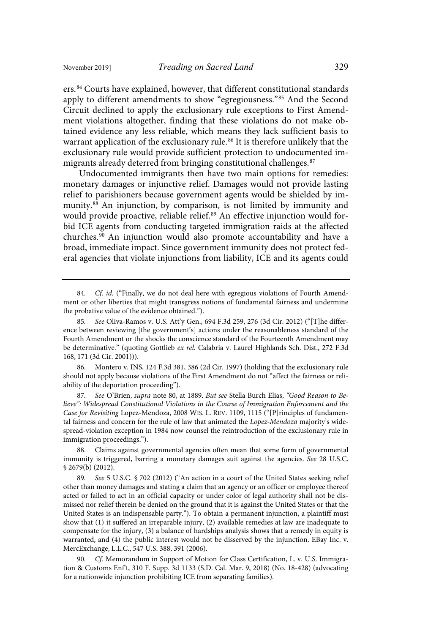ers.<sup>84</sup> Courts have explained, however, that different constitutional standards apply to different amendments to show "egregiousness." <sup>85</sup> And the Second Circuit declined to apply the exclusionary rule exceptions to First Amendment violations altogether, finding that these violations do not make obtained evidence any less reliable, which means they lack sufficient basis to warrant application of the exclusionary rule.<sup>86</sup> It is therefore unlikely that the exclusionary rule would provide sufficient protection to undocumented immigrants already deterred from bringing constitutional challenges.<sup>87</sup>

Undocumented immigrants then have two main options for remedies: monetary damages or injunctive relief. Damages would not provide lasting relief to parishioners because government agents would be shielded by immunity.<sup>88</sup> An injunction, by comparison, is not limited by immunity and would provide proactive, reliable relief. <sup>89</sup> An effective injunction would forbid ICE agents from conducting targeted immigration raids at the affected churches.<sup>90</sup> An injunction would also promote accountability and have a broad, immediate impact. Since government immunity does not protect federal agencies that violate injunctions from liability, ICE and its agents could

86. Montero v. INS, 124 F.3d 381, 386 (2d Cir. 1997) (holding that the exclusionary rule should not apply because violations of the First Amendment do not "affect the fairness or reliability of the deportation proceeding").

87. See O'Brien, supra note 80, at 1889. But see Stella Burch Elias, "Good Reason to Believe": Widespread Constitutional Violations in the Course of Immigration Enforcement and the Case for Revisiting Lopez-Mendoza, 2008 WIS. L. REV. 1109, 1115 ("[P]rinciples of fundamental fairness and concern for the rule of law that animated the Lopez-Mendoza majority's widespread-violation exception in 1984 now counsel the reintroduction of the exclusionary rule in immigration proceedings.").

88. Claims against governmental agencies often mean that some form of governmental immunity is triggered, barring a monetary damages suit against the agencies. See 28 U.S.C. § 2679(b) (2012).

89. See 5 U.S.C. § 702 (2012) ("An action in a court of the United States seeking relief other than money damages and stating a claim that an agency or an officer or employee thereof acted or failed to act in an official capacity or under color of legal authority shall not be dismissed nor relief therein be denied on the ground that it is against the United States or that the United States is an indispensable party."). To obtain a permanent injunction, a plaintiff must show that (1) it suffered an irreparable injury, (2) available remedies at law are inadequate to compensate for the injury, (3) a balance of hardships analysis shows that a remedy in equity is warranted, and (4) the public interest would not be disserved by the injunction. EBay Inc. v. MercExchange, L.L.C., 547 U.S. 388, 391 (2006).

90. Cf. Memorandum in Support of Motion for Class Certification, L. v. U.S. Immigration & Customs Enf't, 310 F. Supp. 3d 1133 (S.D. Cal. Mar. 9, 2018) (No. 18-428) (advocating for a nationwide injunction prohibiting ICE from separating families).

<sup>84.</sup> Cf. id. ("Finally, we do not deal here with egregious violations of Fourth Amendment or other liberties that might transgress notions of fundamental fairness and undermine the probative value of the evidence obtained.").

<sup>85</sup> . See Oliva-Ramos v. U.S. Att'y Gen., 694 F.3d 259, 276 (3d Cir. 2012) ("[T]he difference between reviewing [the government's] actions under the reasonableness standard of the Fourth Amendment or the shocks the conscience standard of the Fourteenth Amendment may be determinative." (quoting Gottlieb ex rel. Calabria v. Laurel Highlands Sch. Dist., 272 F.3d 168, 171 (3d Cir. 2001))).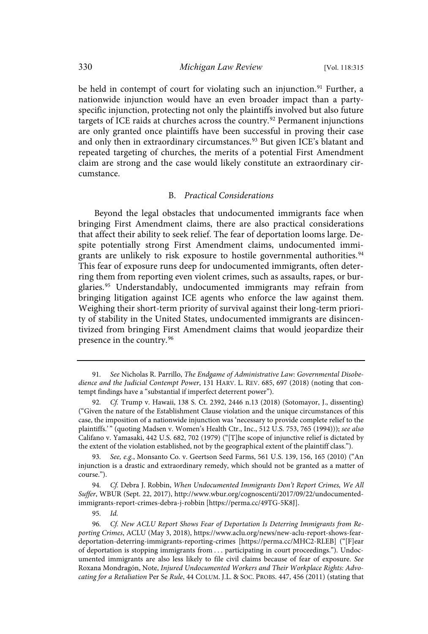be held in contempt of court for violating such an injunction.<sup>91</sup> Further, a nationwide injunction would have an even broader impact than a partyspecific injunction, protecting not only the plaintiffs involved but also future targets of ICE raids at churches across the country.<sup>92</sup> Permanent injunctions are only granted once plaintiffs have been successful in proving their case and only then in extraordinary circumstances.<sup>93</sup> But given ICE's blatant and repeated targeting of churches, the merits of a potential First Amendment claim are strong and the case would likely constitute an extraordinary circumstance.

#### B. Practical Considerations

Beyond the legal obstacles that undocumented immigrants face when bringing First Amendment claims, there are also practical considerations that affect their ability to seek relief. The fear of deportation looms large. Despite potentially strong First Amendment claims, undocumented immigrants are unlikely to risk exposure to hostile governmental authorities.<sup>94</sup> This fear of exposure runs deep for undocumented immigrants, often deterring them from reporting even violent crimes, such as assaults, rapes, or burglaries.<sup>95</sup> Understandably, undocumented immigrants may refrain from bringing litigation against ICE agents who enforce the law against them. Weighing their short-term priority of survival against their long-term priority of stability in the United States, undocumented immigrants are disincentivized from bringing First Amendment claims that would jeopardize their presence in the country.<sup>96</sup>

<sup>91.</sup> See Nicholas R. Parrillo, The Endgame of Administrative Law: Governmental Disobedience and the Judicial Contempt Power, 131 HARV. L. REV. 685, 697 (2018) (noting that contempt findings have a "substantial if imperfect deterrent power").

<sup>92.</sup> Cf. Trump v. Hawaii, 138 S. Ct. 2392, 2446 n.13 (2018) (Sotomayor, J., dissenting) ("Given the nature of the Establishment Clause violation and the unique circumstances of this case, the imposition of a nationwide injunction was 'necessary to provide complete relief to the plaintiffs.'" (quoting Madsen v. Women's Health Ctr., Inc., 512 U.S. 753, 765 (1994))); see also Califano v. Yamasaki, 442 U.S. 682, 702 (1979) ("[T]he scope of injunctive relief is dictated by the extent of the violation established, not by the geographical extent of the plaintiff class.").

<sup>93.</sup> See, e.g., Monsanto Co. v. Geertson Seed Farms, 561 U.S. 139, 156, 165 (2010) ("An injunction is a drastic and extraordinary remedy, which should not be granted as a matter of course.").

<sup>94.</sup> Cf. Debra J. Robbin, When Undocumented Immigrants Don't Report Crimes, We All Suffer, WBUR (Sept. 22, 2017), http://www.wbur.org/cognoscenti/2017/09/22/undocumentedimmigrants-report-crimes-debra-j-robbin [https://perma.cc/49TG-5K8J].

<sup>95.</sup> Id.

Cf. New ACLU Report Shows Fear of Deportation Is Deterring Immigrants from Reporting Crimes, ACLU (May 3, 2018), https://www.aclu.org/news/new-aclu-report-shows-feardeportation-deterring-immigrants-reporting-crimes [https://perma.cc/MHC2-RLEB] ("[F]ear of deportation is stopping immigrants from . . . participating in court proceedings."). Undocumented immigrants are also less likely to file civil claims because of fear of exposure. See Roxana Mondragón, Note, Injured Undocumented Workers and Their Workplace Rights: Advocating for a Retaliation Per Se Rule, 44 COLUM. J.L. & SOC. PROBS. 447, 456 (2011) (stating that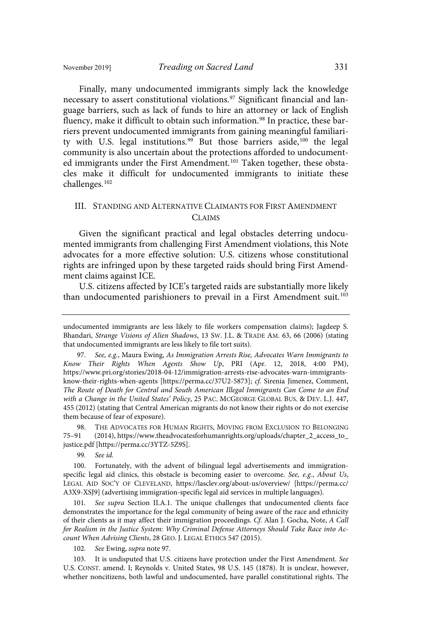Finally, many undocumented immigrants simply lack the knowledge necessary to assert constitutional violations.<sup>97</sup> Significant financial and language barriers, such as lack of funds to hire an attorney or lack of English fluency, make it difficult to obtain such information.<sup>98</sup> In practice, these barriers prevent undocumented immigrants from gaining meaningful familiarity with U.S. legal institutions.<sup>99</sup> But those barriers aside,<sup>100</sup> the legal community is also uncertain about the protections afforded to undocumented immigrants under the First Amendment.<sup>101</sup> Taken together, these obstacles make it difficult for undocumented immigrants to initiate these challenges.<sup>102</sup>

## III. STANDING AND ALTERNATIVE CLAIMANTS FOR FIRST AMENDMENT CLAIMS

Given the significant practical and legal obstacles deterring undocumented immigrants from challenging First Amendment violations, this Note advocates for a more effective solution: U.S. citizens whose constitutional rights are infringed upon by these targeted raids should bring First Amendment claims against ICE.

U.S. citizens affected by ICE's targeted raids are substantially more likely than undocumented parishioners to prevail in a First Amendment suit. 103

98. THE ADVOCATES FOR HUMAN RIGHTS, MOVING FROM EXCLUSION TO BELONGING 75–91 (2014), https://www.theadvocatesforhumanrights.org/uploads/chapter\_2\_access\_to\_ justice.pdf [https://perma.cc/3YTZ-5Z9S].

99. See id.

100. Fortunately, with the advent of bilingual legal advertisements and immigrationspecific legal aid clinics, this obstacle is becoming easier to overcome. See, e.g., About Us, LEGAL AID SOC'Y OF CLEVELAND, https://lasclev.org/about-us/overview/ [https://perma.cc/ A3X9-XSJ9] (advertising immigration-specific legal aid services in multiple languages).

101. See supra Section II.A.1. The unique challenges that undocumented clients face demonstrates the importance for the legal community of being aware of the race and ethnicity of their clients as it may affect their immigration proceedings. Cf . Alan J. Gocha, Note, A Call for Realism in the Justice System: Why Criminal Defense Attorneys Should Take Race into Account When Advising Clients, 28 GEO. J. LEGAL ETHICS 547 (2015).

102. See Ewing, supra note 97.

103. It is undisputed that U.S. citizens have protection under the First Amendment. See U.S. CONST. amend. I; Reynolds v. United States, 98 U.S. 145 (1878). It is unclear, however, whether noncitizens, both lawful and undocumented, have parallel constitutional rights. The

undocumented immigrants are less likely to file workers compensation claims); Jagdeep S. Bhandari, Strange Visions of Alien Shadows, 13 SW. J.L. & TRADE AM. 63, 66 (2006) (stating that undocumented immigrants are less likely to file tort suits).

<sup>97.</sup> See, e.g., Maura Ewing, As Immigration Arrests Rise, Advocates Warn Immigrants to Know Their Rights When Agents Show Up, PRI (Apr. 12, 2018, 4:00 PM), https://www.pri.org/stories/2018-04-12/immigration-arrests-rise-advocates-warn-immigrantsknow-their-rights-when-agents [https://perma.cc/37U2-5873]; cf . Sirenia Jimenez, Comment, The Route of Death for Central and South American Illegal Immigrants Can Come to an End with a Change in the United States' Policy, 25 PAC. MCGEORGE GLOBAL BUS. & DEV. L.J. 447, 455 (2012) (stating that Central American migrants do not know their rights or do not exercise them because of fear of exposure).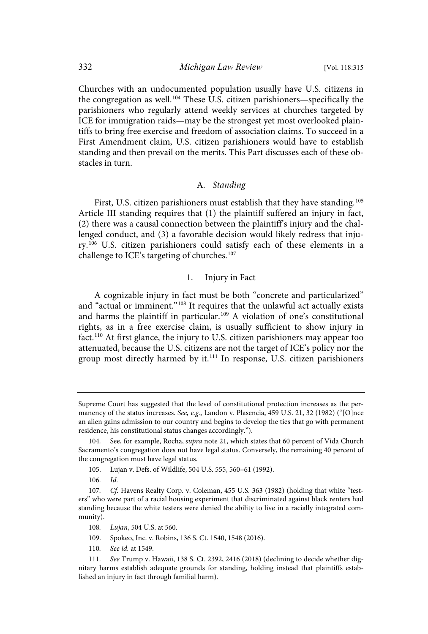Churches with an undocumented population usually have U.S. citizens in the congregation as well.<sup>104</sup> These U.S. citizen parishioners—specifically the parishioners who regularly attend weekly services at churches targeted by ICE for immigration raids—may be the strongest yet most overlooked plaintiffs to bring free exercise and freedom of association claims. To succeed in a First Amendment claim, U.S. citizen parishioners would have to establish standing and then prevail on the merits. This Part discusses each of these obstacles in turn.

#### A. Standing

First, U.S. citizen parishioners must establish that they have standing.<sup>105</sup> Article III standing requires that (1) the plaintiff suffered an injury in fact, (2) there was a causal connection between the plaintiff's injury and the challenged conduct, and (3) a favorable decision would likely redress that injury.<sup>106</sup> U.S. citizen parishioners could satisfy each of these elements in a challenge to ICE's targeting of churches.<sup>107</sup>

#### 1. Injury in Fact

A cognizable injury in fact must be both "concrete and particularized" and "actual or imminent."<sup>108</sup> It requires that the unlawful act actually exists and harms the plaintiff in particular.<sup>109</sup> A violation of one's constitutional rights, as in a free exercise claim, is usually sufficient to show injury in fact.<sup>110</sup> At first glance, the injury to U.S. citizen parishioners may appear too attenuated, because the U.S. citizens are not the target of ICE's policy nor the group most directly harmed by it. <sup>111</sup> In response, U.S. citizen parishioners

Supreme Court has suggested that the level of constitutional protection increases as the permanency of the status increases. See, e.g., Landon v. Plasencia, 459 U.S. 21, 32 (1982) ("[O]nce an alien gains admission to our country and begins to develop the ties that go with permanent residence, his constitutional status changes accordingly.").

<sup>104.</sup> See, for example, Rocha, *supra* note 21, which states that 60 percent of Vida Church Sacramento's congregation does not have legal status. Conversely, the remaining 40 percent of the congregation must have legal status.

<sup>105.</sup> Lujan v. Defs. of Wildlife, 504 U.S. 555, 560–61 (1992).

 $106.$   $Id.$ 

<sup>107.</sup> Cf. Havens Realty Corp. v. Coleman, 455 U.S. 363 (1982) (holding that white "testers" who were part of a racial housing experiment that discriminated against black renters had standing because the white testers were denied the ability to live in a racially integrated community).

<sup>108.</sup> Lujan, 504 U.S. at 560.

<sup>109.</sup> Spokeo, Inc. v. Robins, 136 S. Ct. 1540, 1548 (2016).

<sup>110.</sup> See id. at 1549.

<sup>111.</sup> See Trump v. Hawaii, 138 S. Ct. 2392, 2416 (2018) (declining to decide whether dignitary harms establish adequate grounds for standing, holding instead that plaintiffs established an injury in fact through familial harm).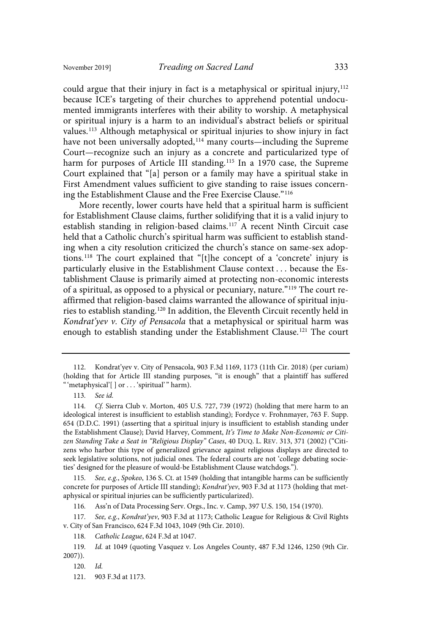could argue that their injury in fact is a metaphysical or spiritual injury,<sup>112</sup> because ICE's targeting of their churches to apprehend potential undocumented immigrants interferes with their ability to worship. A metaphysical or spiritual injury is a harm to an individual's abstract beliefs or spiritual values.<sup>113</sup> Although metaphysical or spiritual injuries to show injury in fact have not been universally adopted,<sup>114</sup> many courts—including the Supreme Court—recognize such an injury as a concrete and particularized type of harm for purposes of Article III standing.<sup>115</sup> In a 1970 case, the Supreme Court explained that "[a] person or a family may have a spiritual stake in First Amendment values sufficient to give standing to raise issues concerning the Establishment Clause and the Free Exercise Clause." 116

More recently, lower courts have held that a spiritual harm is sufficient for Establishment Clause claims, further solidifying that it is a valid injury to establish standing in religion-based claims.<sup>117</sup> A recent Ninth Circuit case held that a Catholic church's spiritual harm was sufficient to establish standing when a city resolution criticized the church's stance on same-sex adoptions.<sup>118</sup> The court explained that "[t]he concept of a 'concrete' injury is particularly elusive in the Establishment Clause context . . . because the Establishment Clause is primarily aimed at protecting non-economic interests of a spiritual, as opposed to a physical or pecuniary, nature."<sup>119</sup> The court reaffirmed that religion-based claims warranted the allowance of spiritual injuries to establish standing.<sup>120</sup> In addition, the Eleventh Circuit recently held in Kondrat'yev v. City of Pensacola that a metaphysical or spiritual harm was enough to establish standing under the Establishment Clause.<sup>121</sup> The court

115. See, e.g., Spokeo, 136 S. Ct. at 1549 (holding that intangible harms can be sufficiently concrete for purposes of Article III standing); Kondrat'yev, 903 F.3d at 1173 (holding that metaphysical or spiritual injuries can be sufficiently particularized).

116 . Ass'n of Data Processing Serv. Orgs., Inc. v. Camp, 397 U.S. 150, 154 (1970).

117. See, e.g., Kondrat'yev, 903 F.3d at 1173; Catholic League for Religious & Civil Rights v. City of San Francisco, 624 F.3d 1043, 1049 (9th Cir. 2010).

118 . Catholic League, 624 F.3d at 1047.

119 . Id . at 1049 (quoting Vasquez v. Los Angeles County, 487 F.3d 1246, 1250 (9th Cir. 2007)).

 $120.$   $Id.$ 

<sup>112.</sup> Kondrat'yev v. City of Pensacola, 903 F.3d 1169, 1173 (11th Cir. 2018) (per curiam) (holding that for Article III standing purposes, "it is enough" that a plaintiff has suffered "'metaphysical'[] or . . . 'spiritual'" harm).

<sup>113.</sup> See id.

<sup>114.</sup> Cf. Sierra Club v. Morton, 405 U.S. 727, 739 (1972) (holding that mere harm to an ideological interest is insufficient to establish standing); Fordyce v. Frohnmayer, 763 F. Supp. 654 (D.D.C. 1991) (asserting that a spiritual injury is insufficient to establish standing under the Establishment Clause); David Harvey, Comment, It's Time to Make Non-Economic or Citizen Standing Take a Seat in "Religious Display" Cases, 40 DUQ. L. REV. 313, 371 (2002) ("Citizens who harbor this type of generalized grievance against religious displays are directed to seek legislative solutions, not judicial ones. The federal courts are not 'college debating societies' designed for the pleasure of would-be Establishment Clause watchdogs.").

<sup>121.</sup> 903 F.3d at 1173.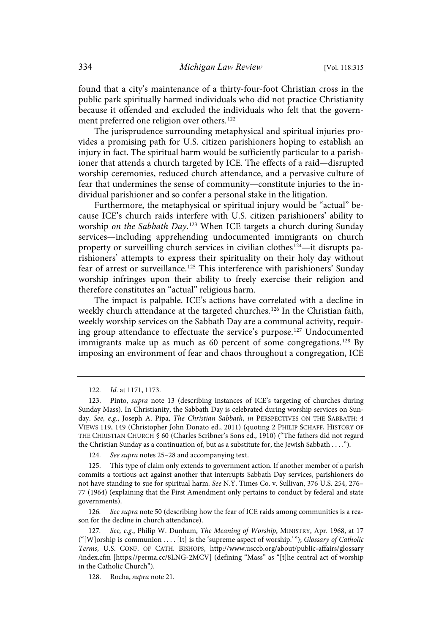found that a city's maintenance of a thirty-four-foot Christian cross in the public park spiritually harmed individuals who did not practice Christianity because it offended and excluded the individuals who felt that the government preferred one religion over others.<sup>122</sup>

The jurisprudence surrounding metaphysical and spiritual injuries provides a promising path for U.S. citizen parishioners hoping to establish an injury in fact. The spiritual harm would be sufficiently particular to a parishioner that attends a church targeted by ICE. The effects of a raid—disrupted worship ceremonies, reduced church attendance, and a pervasive culture of fear that undermines the sense of community—constitute injuries to the individual parishioner and so confer a personal stake in the litigation.

Furthermore, the metaphysical or spiritual injury would be "actual" because ICE's church raids interfere with U.S. citizen parishioners' ability to worship on the Sabbath Day.<sup>123</sup> When ICE targets a church during Sunday services—including apprehending undocumented immigrants on church property or surveilling church services in civilian clothes<sup>124</sup>—it disrupts parishioners' attempts to express their spirituality on their holy day without fear of arrest or surveillance.<sup>125</sup> This interference with parishioners' Sunday worship infringes upon their ability to freely exercise their religion and therefore constitutes an "actual" religious harm.

The impact is palpable. ICE's actions have correlated with a decline in weekly church attendance at the targeted churches.<sup>126</sup> In the Christian faith, weekly worship services on the Sabbath Day are a communal activity, requiring group attendance to effectuate the service's purpose.<sup>127</sup> Undocumented immigrants make up as much as 60 percent of some congregations.<sup>128</sup> By imposing an environment of fear and chaos throughout a congregation, ICE

124. See supra notes 25-28 and accompanying text.

126. See supra note 50 (describing how the fear of ICE raids among communities is a reason for the decline in church attendance).

128. Rocha, supra note 21.

<sup>122.</sup> *Id.* at 1171, 1173.

<sup>123.</sup> Pinto, supra note 13 (describing instances of ICE's targeting of churches during Sunday Mass). In Christianity, the Sabbath Day is celebrated during worship services on Sunday. See, e.g., Joseph A. Pipa, The Christian Sabbath, in PERSPECTIVES ON THE SABBATH: 4 VIEWS 119, 149 (Christopher John Donato ed., 2011) (quoting 2 PHILIP SCHAFF, HISTORY OF THE CHRISTIAN CHURCH § 60 (Charles Scribner's Sons ed., 1910) ("The fathers did not regard the Christian Sunday as a continuation of, but as a substitute for, the Jewish Sabbath . . . .").

<sup>125.</sup> This type of claim only extends to government action. If another member of a parish commits a tortious act against another that interrupts Sabbath Day services, parishioners do not have standing to sue for spiritual harm. See N.Y. Times Co. v. Sullivan, 376 U.S. 254, 276– 77 (1964) (explaining that the First Amendment only pertains to conduct by federal and state governments).

<sup>127.</sup> See, e.g., Philip W. Dunham, The Meaning of Worship, MINISTRY, Apr. 1968, at 17 ("[W]orship is communion . . . . [It] is the 'supreme aspect of worship.' "); Glossary of Catholic Terms, U.S. CONF. OF CATH. BISHOPS, http://www.usccb.org/about/public-affairs/glossary /index.cfm [https://perma.cc/8LNG-2MCV] (defining "Mass" as "[t]he central act of worship in the Catholic Church").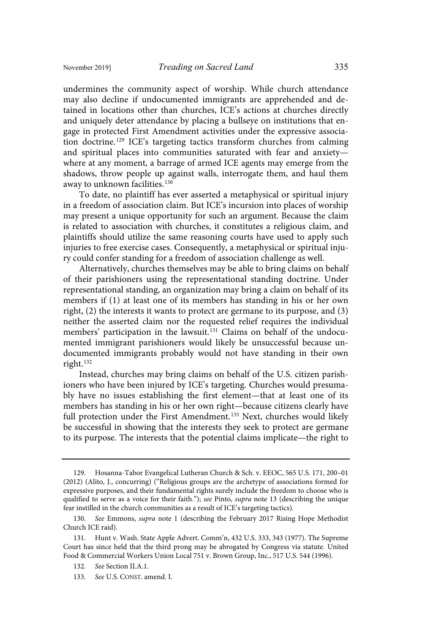undermines the community aspect of worship. While church attendance may also decline if undocumented immigrants are apprehended and detained in locations other than churches, ICE's actions at churches directly and uniquely deter attendance by placing a bullseye on institutions that engage in protected First Amendment activities under the expressive association doctrine.<sup>129</sup> ICE's targeting tactics transform churches from calming and spiritual places into communities saturated with fear and anxiety where at any moment, a barrage of armed ICE agents may emerge from the shadows, throw people up against walls, interrogate them, and haul them away to unknown facilities.<sup>130</sup>

To date, no plaintiff has ever asserted a metaphysical or spiritual injury in a freedom of association claim. But ICE's incursion into places of worship may present a unique opportunity for such an argument. Because the claim is related to association with churches, it constitutes a religious claim, and plaintiffs should utilize the same reasoning courts have used to apply such injuries to free exercise cases. Consequently, a metaphysical or spiritual injury could confer standing for a freedom of association challenge as well.

Alternatively, churches themselves may be able to bring claims on behalf of their parishioners using the representational standing doctrine. Under representational standing, an organization may bring a claim on behalf of its members if (1) at least one of its members has standing in his or her own right, (2) the interests it wants to protect are germane to its purpose, and (3) neither the asserted claim nor the requested relief requires the individual members' participation in the lawsuit.<sup>131</sup> Claims on behalf of the undocumented immigrant parishioners would likely be unsuccessful because undocumented immigrants probably would not have standing in their own right.<sup>132</sup>

Instead, churches may bring claims on behalf of the U.S. citizen parishioners who have been injured by ICE's targeting. Churches would presumably have no issues establishing the first element—that at least one of its members has standing in his or her own right—because citizens clearly have full protection under the First Amendment.<sup>133</sup> Next, churches would likely be successful in showing that the interests they seek to protect are germane to its purpose. The interests that the potential claims implicate—the right to

<sup>129.</sup> Hosanna-Tabor Evangelical Lutheran Church & Sch. v. EEOC, 565 U.S. 171, 200–01 (2012) (Alito, J., concurring) ("Religious groups are the archetype of associations formed for expressive purposes, and their fundamental rights surely include the freedom to choose who is qualified to serve as a voice for their faith."); see Pinto, supra note 13 (describing the unique fear instilled in the church communities as a result of ICE's targeting tactics).

<sup>130.</sup> See Emmons, supra note 1 (describing the February 2017 Rising Hope Methodist Church ICE raid).

<sup>131.</sup> Hunt v. Wash. State Apple Advert. Comm'n, 432 U.S. 333, 343 (1977). The Supreme Court has since held that the third prong may be abrogated by Congress via statute. United Food & Commercial Workers Union Local 751 v. Brown Group, Inc., 517 U.S. 544 (1996).

<sup>132.</sup> See Section II.A.1.

<sup>133.</sup> See U.S. CONST. amend. I.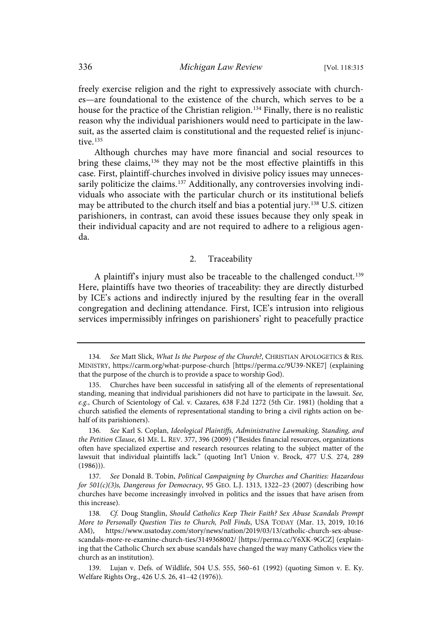freely exercise religion and the right to expressively associate with churches—are foundational to the existence of the church, which serves to be a house for the practice of the Christian religion.<sup>134</sup> Finally, there is no realistic reason why the individual parishioners would need to participate in the lawsuit, as the asserted claim is constitutional and the requested relief is injunctive. 135

Although churches may have more financial and social resources to bring these claims,<sup>136</sup> they may not be the most effective plaintiffs in this case. First, plaintiff-churches involved in divisive policy issues may unnecessarily politicize the claims.<sup>137</sup> Additionally, any controversies involving individuals who associate with the particular church or its institutional beliefs may be attributed to the church itself and bias a potential jury.<sup>138</sup> U.S. citizen parishioners, in contrast, can avoid these issues because they only speak in their individual capacity and are not required to adhere to a religious agenda.

## 2. Traceability

A plaintiff's injury must also be traceable to the challenged conduct.<sup>139</sup> Here, plaintiffs have two theories of traceability: they are directly disturbed by ICE's actions and indirectly injured by the resulting fear in the overall congregation and declining attendance. First, ICE's intrusion into religious services impermissibly infringes on parishioners' right to peacefully practice

<sup>134.</sup> See Matt Slick, What Is the Purpose of the Church?, CHRISTIAN APOLOGETICS & RES. MINISTRY, https://carm.org/what-purpose-church [https://perma.cc/9U39-NKE7] (explaining that the purpose of the church is to provide a space to worship God).

<sup>135.</sup> Churches have been successful in satisfying all of the elements of representational standing, meaning that individual parishioners did not have to participate in the lawsuit. See, e.g., Church of Scientology of Cal. v. Cazares, 638 F.2d 1272 (5th Cir. 1981) (holding that a church satisfied the elements of representational standing to bring a civil rights action on behalf of its parishioners).

<sup>136.</sup> See Karl S. Coplan, Ideological Plaintiffs, Administrative Lawmaking, Standing, and the Petition Clause, 61 ME. L. REV. 377, 396 (2009) ("Besides financial resources, organizations often have specialized expertise and research resources relating to the subject matter of the lawsuit that individual plaintiffs lack." (quoting Int'l Union v. Brock, 477 U.S. 274, 289 (1986))).

<sup>137.</sup> See Donald B. Tobin, Political Campaigning by Churches and Charities: Hazardous for  $501(c)(3)$ s, Dangerous for Democracy, 95 GEO. L.J. 1313, 1322-23 (2007) (describing how churches have become increasingly involved in politics and the issues that have arisen from this increase).

<sup>138.</sup> Cf. Doug Stanglin, Should Catholics Keep Their Faith? Sex Abuse Scandals Prompt More to Personally Question Ties to Church, Poll Finds, USA TODAY (Mar. 13, 2019, 10:16 AM), https://www.usatoday.com/story/news/nation/2019/03/13/catholic-church-sex-abusescandals-more-re-examine-church-ties/3149368002/ [https://perma.cc/Y6XK-9GCZ] (explaining that the Catholic Church sex abuse scandals have changed the way many Catholics view the church as an institution).

<sup>139.</sup> Lujan v. Defs. of Wildlife, 504 U.S. 555, 560–61 (1992) (quoting Simon v. E. Ky. Welfare Rights Org., 426 U.S. 26, 41–42 (1976)).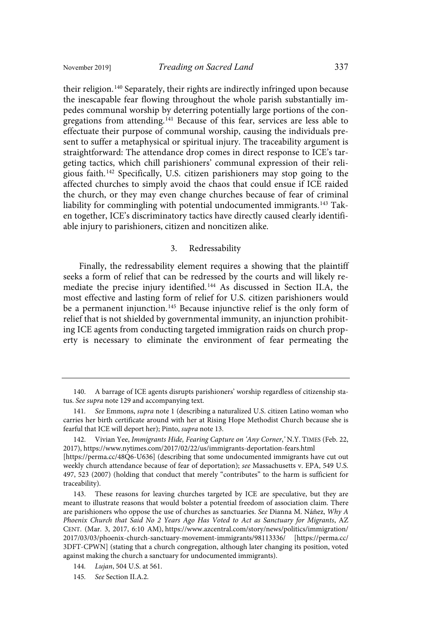their religion.<sup>140</sup> Separately, their rights are indirectly infringed upon because the inescapable fear flowing throughout the whole parish substantially impedes communal worship by deterring potentially large portions of the congregations from attending.<sup>141</sup> Because of this fear, services are less able to effectuate their purpose of communal worship, causing the individuals present to suffer a metaphysical or spiritual injury. The traceability argument is straightforward: The attendance drop comes in direct response to ICE's targeting tactics, which chill parishioners' communal expression of their religious faith.<sup>142</sup> Specifically, U.S. citizen parishioners may stop going to the affected churches to simply avoid the chaos that could ensue if ICE raided the church, or they may even change churches because of fear of criminal liability for commingling with potential undocumented immigrants.<sup>143</sup> Taken together, ICE's discriminatory tactics have directly caused clearly identifiable injury to parishioners, citizen and noncitizen alike.

#### 3. Redressability

Finally, the redressability element requires a showing that the plaintiff seeks a form of relief that can be redressed by the courts and will likely remediate the precise injury identified.<sup>144</sup> As discussed in Section II.A, the most effective and lasting form of relief for U.S. citizen parishioners would be a permanent injunction.<sup>145</sup> Because injunctive relief is the only form of relief that is not shielded by governmental immunity, an injunction prohibiting ICE agents from conducting targeted immigration raids on church property is necessary to eliminate the environment of fear permeating the

<sup>140.</sup> A barrage of ICE agents disrupts parishioners' worship regardless of citizenship status. See supra note 129 and accompanying text.

<sup>141.</sup> See Emmons, supra note 1 (describing a naturalized U.S. citizen Latino woman who carries her birth certificate around with her at Rising Hope Methodist Church because she is fearful that ICE will deport her); Pinto, supra note 13.

<sup>142.</sup> Vivian Yee, Immigrants Hide, Fearing Capture on 'Any Corner,' N.Y. TIMES (Feb. 22, 2017), https://www.nytimes.com/2017/02/22/us/immigrants-deportation-fears.html [https://perma.cc/48Q6-U636] (describing that some undocumented immigrants have cut out weekly church attendance because of fear of deportation); see Massachusetts v. EPA, 549 U.S. 497, 523 (2007) (holding that conduct that merely "contributes" to the harm is sufficient for traceability).

<sup>143.</sup> These reasons for leaving churches targeted by ICE are speculative, but they are meant to illustrate reasons that would bolster a potential freedom of association claim. There are parishioners who oppose the use of churches as sanctuaries. See Dianna M. Náñez, Why A Phoenix Church that Said No 2 Years Ago Has Voted to Act as Sanctuary for Migrants, AZ CENT. (Mar. 3, 2017, 6:10 AM), https://www.azcentral.com/story/news/politics/immigration/ 2017/03/03/phoenix-church-sanctuary-movement-immigrants/98113336/ [https://perma.cc/ 3DFT-CPWN] (stating that a church congregation, although later changing its position, voted against making the church a sanctuary for undocumented immigrants).

<sup>144.</sup> Lujan, 504 U.S. at 561.

<sup>145.</sup> See Section II.A.2.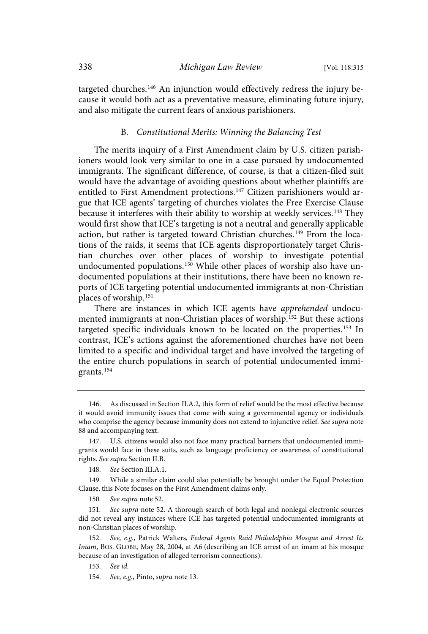targeted churches.<sup>146</sup> An injunction would effectively redress the injury because it would both act as a preventative measure, eliminating future injury, and also mitigate the current fears of anxious parishioners.

#### B. Constitutional Merits: Winning the Balancing Test

The merits inquiry of a First Amendment claim by U.S. citizen parishioners would look very similar to one in a case pursued by undocumented immigrants. The significant difference, of course, is that a citizen-filed suit would have the advantage of avoiding questions about whether plaintiffs are entitled to First Amendment protections.<sup>147</sup> Citizen parishioners would argue that ICE agents' targeting of churches violates the Free Exercise Clause because it interferes with their ability to worship at weekly services.<sup>148</sup> They would first show that ICE's targeting is not a neutral and generally applicable action, but rather is targeted toward Christian churches.<sup>149</sup> From the locations of the raids, it seems that ICE agents disproportionately target Christian churches over other places of worship to investigate potential undocumented populations.<sup>150</sup> While other places of worship also have undocumented populations at their institutions, there have been no known reports of ICE targeting potential undocumented immigrants at non-Christian places of worship. 151

There are instances in which ICE agents have apprehended undocumented immigrants at non-Christian places of worship.<sup>152</sup> But these actions targeted specific individuals known to be located on the properties.<sup>153</sup> In contrast, ICE's actions against the aforementioned churches have not been limited to a specific and individual target and have involved the targeting of the entire church populations in search of potential undocumented immigrants.<sup>154</sup>

150. See supra note 52.

151. See supra note 52. A thorough search of both legal and nonlegal electronic sources did not reveal any instances where ICE has targeted potential undocumented immigrants at non-Christian places of worship.

152. See, e.g., Patrick Walters, Federal Agents Raid Philadelphia Mosque and Arrest Its Imam, BOS. GLOBE, May 28, 2004, at A6 (describing an ICE arrest of an imam at his mosque because of an investigation of alleged terrorism connections).

153. See id.

<sup>146.</sup> As discussed in Section II.A.2, this form of relief would be the most effective because it would avoid immunity issues that come with suing a governmental agency or individuals who comprise the agency because immunity does not extend to injunctive relief. See supra note 88 and accompanying text.

<sup>147.</sup> U.S. citizens would also not face many practical barriers that undocumented immigrants would face in these suits, such as language proficiency or awareness of constitutional rights. See supra Section II.B.

<sup>148.</sup> See Section III.A.1.

<sup>149.</sup> While a similar claim could also potentially be brought under the Equal Protection Clause, this Note focuses on the First Amendment claims only.

<sup>154.</sup> See, e.g., Pinto, supra note 13.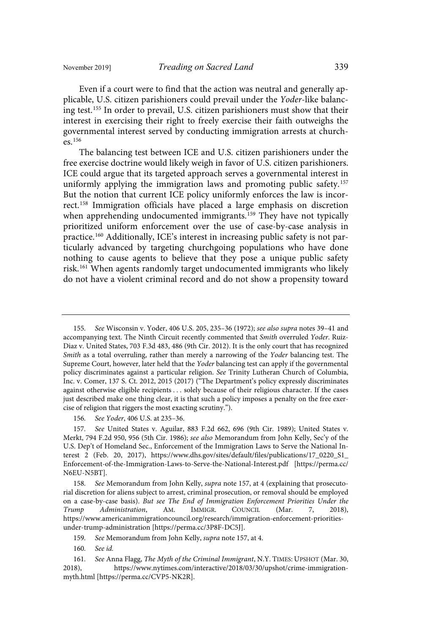Even if a court were to find that the action was neutral and generally applicable, U.S. citizen parishioners could prevail under the Yoder-like balancing test.<sup>155</sup> In order to prevail, U.S. citizen parishioners must show that their interest in exercising their right to freely exercise their faith outweighs the governmental interest served by conducting immigration arrests at churches.<sup>156</sup>

The balancing test between ICE and U.S. citizen parishioners under the free exercise doctrine would likely weigh in favor of U.S. citizen parishioners. ICE could argue that its targeted approach serves a governmental interest in uniformly applying the immigration laws and promoting public safety.<sup>157</sup> But the notion that current ICE policy uniformly enforces the law is incorrect. 158 Immigration officials have placed a large emphasis on discretion when apprehending undocumented immigrants.<sup>159</sup> They have not typically prioritized uniform enforcement over the use of case-by-case analysis in practice.<sup>160</sup> Additionally, ICE's interest in increasing public safety is not particularly advanced by targeting churchgoing populations who have done nothing to cause agents to believe that they pose a unique public safety risk.<sup>161</sup> When agents randomly target undocumented immigrants who likely do not have a violent criminal record and do not show a propensity toward

See Wisconsin v. Yoder, 406 U.S. 205, 235-36 (1972); see also supra notes 39-41 and accompanying text. The Ninth Circuit recently commented that Smith overruled Yoder. Ruiz-Diaz v. United States, 703 F.3d 483, 486 (9th Cir. 2012). It is the only court that has recognized Smith as a total overruling, rather than merely a narrowing of the Yoder balancing test. The Supreme Court, however, later held that the Yoder balancing test can apply if the governmental policy discriminates against a particular religion. See Trinity Lutheran Church of Columbia, Inc. v. Comer, 137 S. Ct. 2012, 2015 (2017) ("The Department's policy expressly discriminates against otherwise eligible recipients . . . solely because of their religious character. If the cases just described make one thing clear, it is that such a policy imposes a penalty on the free exercise of religion that riggers the most exacting scrutiny.").

<sup>156.</sup> See Yoder, 406 U.S. at 235-36.

<sup>157</sup> . See United States v. Aguilar, 883 F.2d 662, 696 (9th Cir. 1989); United States v. Merkt, 794 F.2d 950, 956 (5th Cir. 1986); see also Memorandum from John Kelly, Sec'y of the U.S. Dep't of Homeland Sec., Enforcement of the Immigration Laws to Serve the National Interest 2 (Feb. 20, 2017), https://www.dhs.gov/sites/default/files/publications/17\_0220\_S1\_ Enforcement-of-the-Immigration-Laws-to-Serve-the-National-Interest.pdf [https://perma.cc/ N6EU-N5BT].

<sup>158.</sup> See Memorandum from John Kelly, *supra* note 157, at 4 (explaining that prosecutorial discretion for aliens subject to arrest, criminal prosecution, or removal should be employed on a case-by-case basis). But see The End of Immigration Enforcement Priorities Under the Trump Administration, AM. IMMIGR. COUNCIL (Mar. 7, 2018), https://www.americanimmigrationcouncil.org/research/immigration-enforcement-prioritiesunder-trump-administration [https://perma.cc/3P8F-DC5J].

<sup>159.</sup> See Memorandum from John Kelly, supra note 157, at 4.

<sup>160.</sup> See id.

<sup>161.</sup> See Anna Flagg, The Myth of the Criminal Immigrant, N.Y. TIMES: UPSHOT (Mar. 30, 2018), https://www.nytimes.com/interactive/2018/03/30/upshot/crime-immigrationmyth.html [https://perma.cc/CVP5-NK2R].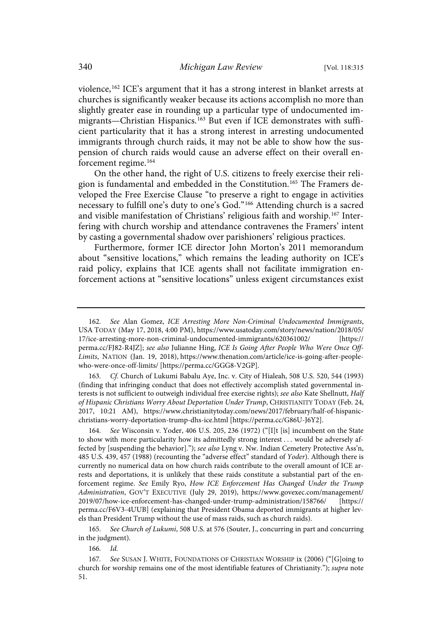violence, 162 ICE's argument that it has a strong interest in blanket arrests at churches is significantly weaker because its actions accomplish no more than slightly greater ease in rounding up a particular type of undocumented immigrants—Christian Hispanics. <sup>163</sup> But even if ICE demonstrates with sufficient particularity that it has a strong interest in arresting undocumented immigrants through church raids, it may not be able to show how the suspension of church raids would cause an adverse effect on their overall enforcement regime.<sup>164</sup>

On the other hand, the right of U.S. citizens to freely exercise their religion is fundamental and embedded in the Constitution.<sup>165</sup> The Framers developed the Free Exercise Clause "to preserve a right to engage in activities necessary to fulfill one's duty to one's God."<sup>166</sup> Attending church is a sacred and visible manifestation of Christians' religious faith and worship.<sup>167</sup> Interfering with church worship and attendance contravenes the Framers' intent by casting a governmental shadow over parishioners' religious practices.

Furthermore, former ICE director John Morton's 2011 memorandum about "sensitive locations," which remains the leading authority on ICE's raid policy, explains that ICE agents shall not facilitate immigration enforcement actions at "sensitive locations" unless exigent circumstances exist

163. Cf. Church of Lukumi Babalu Aye, Inc. v. City of Hialeah, 508 U.S. 520, 544 (1993) (finding that infringing conduct that does not effectively accomplish stated governmental interests is not sufficient to outweigh individual free exercise rights); see also Kate Shellnutt, Half of Hispanic Christians Worry About Deportation Under Trump, CHRISTIANITY TODAY (Feb. 24, 2017, 10:21 AM), https://www.christianitytoday.com/news/2017/february/half-of-hispanicchristians-worry-deportation-trump-dhs-ice.html [https://perma.cc/G86U-J6Y2].

See Wisconsin v. Yoder, 406 U.S. 205, 236 (1972) ("[I]t [is] incumbent on the State to show with more particularity how its admittedly strong interest . . . would be adversely affected by [suspending the behavior]."); see also Lyng v. Nw. Indian Cemetery Protective Ass'n, 485 U.S. 439, 457 (1988) (recounting the "adverse effect" standard of Yoder). Although there is currently no numerical data on how church raids contribute to the overall amount of ICE arrests and deportations, it is unlikely that these raids constitute a substantial part of the enforcement regime. See Emily Ryo, How ICE Enforcement Has Changed Under the Trump Administration, GOV'T EXECUTIVE (July 29, 2019), https://www.govexec.com/management/ 2019/07/how-ice-enforcement-has-changed-under-trump-administration/158766/ [https:// perma.cc/F6V3-4UUB] (explaining that President Obama deported immigrants at higher levels than President Trump without the use of mass raids, such as church raids).

165. See Church of Lukumi, 508 U.S. at 576 (Souter, J., concurring in part and concurring in the judgment).

166. Id.

<sup>162.</sup> See Alan Gomez, ICE Arresting More Non-Criminal Undocumented Immigrants, USA TODAY (May 17, 2018, 4:00 PM), https://www.usatoday.com/story/news/nation/2018/05/ 17/ice-arresting-more-non-criminal-undocumented-immigrants/620361002/ [https:// perma.cc/FJ82-R4JZ]; see also Julianne Hing, ICE Is Going After People Who Were Once Off-Limits, NATION (Jan. 19, 2018), https://www.thenation.com/article/ice-is-going-after-peoplewho-were-once-off-limits/ [https://perma.cc/GGG8-V2GP].

<sup>167.</sup> See SUSAN J. WHITE, FOUNDATIONS OF CHRISTIAN WORSHIP ix (2006) ("[G]oing to church for worship remains one of the most identifiable features of Christianity."); supra note 51.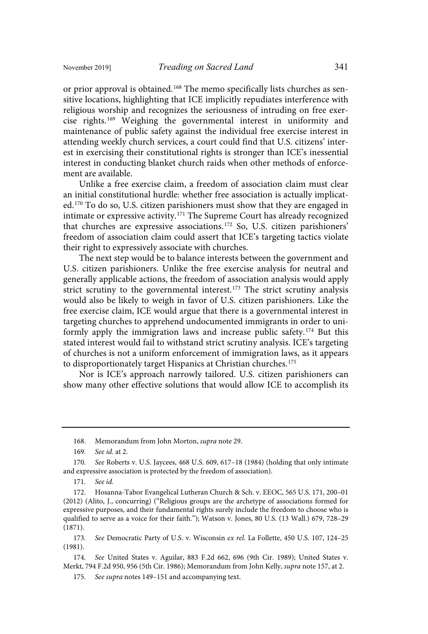or prior approval is obtained.<sup>168</sup> The memo specifically lists churches as sensitive locations, highlighting that ICE implicitly repudiates interference with religious worship and recognizes the seriousness of intruding on free exercise rights.<sup>169</sup> Weighing the governmental interest in uniformity and maintenance of public safety against the individual free exercise interest in attending weekly church services, a court could find that U.S. citizens' interest in exercising their constitutional rights is stronger than ICE's inessential interest in conducting blanket church raids when other methods of enforcement are available.

Unlike a free exercise claim, a freedom of association claim must clear an initial constitutional hurdle: whether free association is actually implicated.<sup>170</sup> To do so, U.S. citizen parishioners must show that they are engaged in intimate or expressive activity.<sup>171</sup> The Supreme Court has already recognized that churches are expressive associations. <sup>172</sup> So, U.S. citizen parishioners' freedom of association claim could assert that ICE's targeting tactics violate their right to expressively associate with churches.

The next step would be to balance interests between the government and U.S. citizen parishioners. Unlike the free exercise analysis for neutral and generally applicable actions, the freedom of association analysis would apply strict scrutiny to the governmental interest.<sup>173</sup> The strict scrutiny analysis would also be likely to weigh in favor of U.S. citizen parishioners. Like the free exercise claim, ICE would argue that there is a governmental interest in targeting churches to apprehend undocumented immigrants in order to uniformly apply the immigration laws and increase public safety.<sup>174</sup> But this stated interest would fail to withstand strict scrutiny analysis. ICE's targeting of churches is not a uniform enforcement of immigration laws, as it appears to disproportionately target Hispanics at Christian churches.<sup>175</sup>

Nor is ICE's approach narrowly tailored. U.S. citizen parishioners can show many other effective solutions that would allow ICE to accomplish its

171. See id.

<sup>168.</sup> Memorandum from John Morton, supra note 29.

<sup>169.</sup> See *id*. at 2.

<sup>170.</sup> See Roberts v. U.S. Jaycees, 468 U.S. 609, 617-18 (1984) (holding that only intimate and expressive association is protected by the freedom of association).

<sup>172.</sup> Hosanna-Tabor Evangelical Lutheran Church & Sch. v. EEOC, 565 U.S. 171, 200–01 (2012) (Alito, J., concurring) ("Religious groups are the archetype of associations formed for expressive purposes, and their fundamental rights surely include the freedom to choose who is qualified to serve as a voice for their faith."); Watson v. Jones, 80 U.S. (13 Wall.) 679, 728–29 (1871).

<sup>173.</sup> See Democratic Party of U.S. v. Wisconsin ex rel. La Follette, 450 U.S. 107, 124-25 (1981).

<sup>174.</sup> See United States v. Aguilar, 883 F.2d 662, 696 (9th Cir. 1989); United States v. Merkt, 794 F.2d 950, 956 (5th Cir. 1986); Memorandum from John Kelly, supra note 157, at 2.

<sup>175.</sup> See supra notes 149-151 and accompanying text.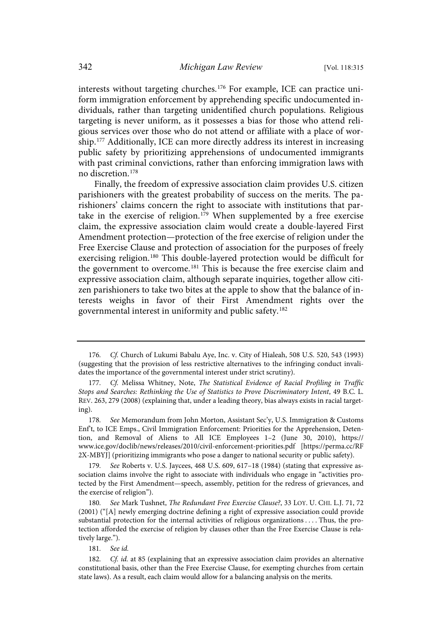interests without targeting churches.<sup>176</sup> For example, ICE can practice uniform immigration enforcement by apprehending specific undocumented individuals, rather than targeting unidentified church populations. Religious targeting is never uniform, as it possesses a bias for those who attend religious services over those who do not attend or affiliate with a place of worship.<sup>177</sup> Additionally, ICE can more directly address its interest in increasing public safety by prioritizing apprehensions of undocumented immigrants with past criminal convictions, rather than enforcing immigration laws with no discretion. 178

Finally, the freedom of expressive association claim provides U.S. citizen parishioners with the greatest probability of success on the merits. The parishioners' claims concern the right to associate with institutions that partake in the exercise of religion.<sup>179</sup> When supplemented by a free exercise claim, the expressive association claim would create a double-layered First Amendment protection—protection of the free exercise of religion under the Free Exercise Clause and protection of association for the purposes of freely exercising religion.<sup>180</sup> This double-layered protection would be difficult for the government to overcome.<sup>181</sup> This is because the free exercise claim and expressive association claim, although separate inquiries, together allow citizen parishioners to take two bites at the apple to show that the balance of interests weighs in favor of their First Amendment rights over the governmental interest in uniformity and public safety.<sup>182</sup>

<sup>176.</sup> Cf. Church of Lukumi Babalu Aye, Inc. v. City of Hialeah, 508 U.S. 520, 543 (1993) (suggesting that the provision of less restrictive alternatives to the infringing conduct invalidates the importance of the governmental interest under strict scrutiny).

<sup>177.</sup> Cf. Melissa Whitney, Note, The Statistical Evidence of Racial Profiling in Traffic Stops and Searches: Rethinking the Use of Statistics to Prove Discriminatory Intent, 49 B.C. L. REV. 263, 279 (2008) (explaining that, under a leading theory, bias always exists in racial targeting).

<sup>178.</sup> See Memorandum from John Morton, Assistant Sec'y, U.S. Immigration & Customs Enf't, to ICE Emps., Civil Immigration Enforcement: Priorities for the Apprehension, Detention, and Removal of Aliens to All ICE Employees 1–2 (June 30, 2010), https:// www.ice.gov/doclib/news/releases/2010/civil-enforcement-priorities.pdf [https://perma.cc/RF 2X-MBYJ] (prioritizing immigrants who pose a danger to national security or public safety).

<sup>179.</sup> See Roberts v. U.S. Jaycees, 468 U.S. 609, 617-18 (1984) (stating that expressive association claims involve the right to associate with individuals who engage in "activities protected by the First Amendment—speech, assembly, petition for the redress of grievances, and the exercise of religion").

<sup>180.</sup> See Mark Tushnet, The Redundant Free Exercise Clause?, 33 LOY. U. CHI. L.J. 71, 72 (2001) ("[A] newly emerging doctrine defining a right of expressive association could provide substantial protection for the internal activities of religious organizations . . . . Thus, the protection afforded the exercise of religion by clauses other than the Free Exercise Clause is relatively large.").

<sup>181.</sup> See id.

<sup>182.</sup> Cf. id. at 85 (explaining that an expressive association claim provides an alternative constitutional basis, other than the Free Exercise Clause, for exempting churches from certain state laws). As a result, each claim would allow for a balancing analysis on the merits.